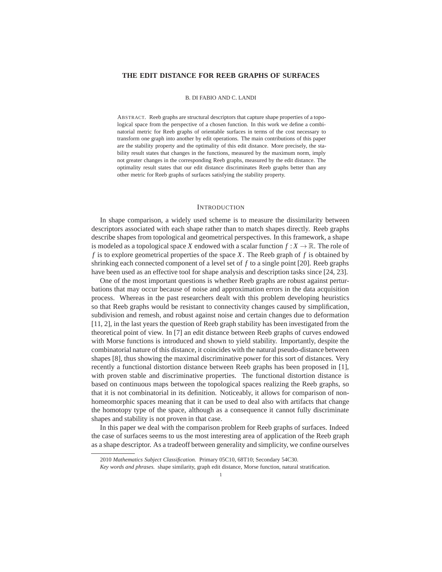### **THE EDIT DISTANCE FOR REEB GRAPHS OF SURFACES**

### B. DI FABIO AND C. LANDI

ABSTRACT. Reeb graphs are structural descriptors that capture shape properties of a topological space from the perspective of a chosen function. In this work we define a combinatorial metric for Reeb graphs of orientable surfaces in terms of the cost necessary to transform one graph into another by edit operations. The main contributions of this paper are the stability property and the optimality of this edit distance. More precisely, the stability result states that changes in the functions, measured by the maximum norm, imply not greater changes in the corresponding Reeb graphs, measured by the edit distance. The optimality result states that our edit distance discriminates Reeb graphs better than any other metric for Reeb graphs of surfaces satisfying the stability property.

### INTRODUCTION

In shape comparison, a widely used scheme is to measure the dissimilarity between descriptors associated with each shape rather than to match shapes directly. Reeb graphs describe shapes from topological and geometrical perspectives. In this framework, a shape is modeled as a topological space *X* endowed with a scalar function  $f: X \to \mathbb{R}$ . The role of *f* is to explore geometrical properties of the space *X*. The Reeb graph of *f* is obtained by shrinking each connected component of a level set of *f* to a single point [20]. Reeb graphs have been used as an effective tool for shape analysis and description tasks since [24, 23].

One of the most important questions is whether Reeb graphs are robust against perturbations that may occur because of noise and approximation errors in the data acquisition process. Whereas in the past researchers dealt with this problem developing heuristics so that Reeb graphs would be resistant to connectivity changes caused by simplification, subdivision and remesh, and robust against noise and certain changes due to deformation [11, 2], in the last years the question of Reeb graph stability has been investigated from the theoretical point of view. In [7] an edit distance between Reeb graphs of curves endowed with Morse functions is introduced and shown to yield stability. Importantly, despite the combinatorial nature of this distance, it coincides with the natural pseudo-distance between shapes [8], thus showing the maximal discriminative power for this sort of distances. Very recently a functional distortion distance between Reeb graphs has been proposed in [1], with proven stable and discriminative properties. The functional distortion distance is based on continuous maps between the topological spaces realizing the Reeb graphs, so that it is not combinatorial in its definition. Noticeably, it allows for comparison of nonhomeomorphic spaces meaning that it can be used to deal also with artifacts that change the homotopy type of the space, although as a consequence it cannot fully discriminate shapes and stability is not proven in that case.

In this paper we deal with the comparison problem for Reeb graphs of surfaces. Indeed the case of surfaces seems to us the most interesting area of application of the Reeb graph as a shape descriptor. As a tradeoff between generality and simplicity, we confine ourselves

<sup>2010</sup> *Mathematics Subject Classification.* Primary 05C10, 68T10; Secondary 54C30.

*Key words and phrases.* shape similarity, graph edit distance, Morse function, natural stratification.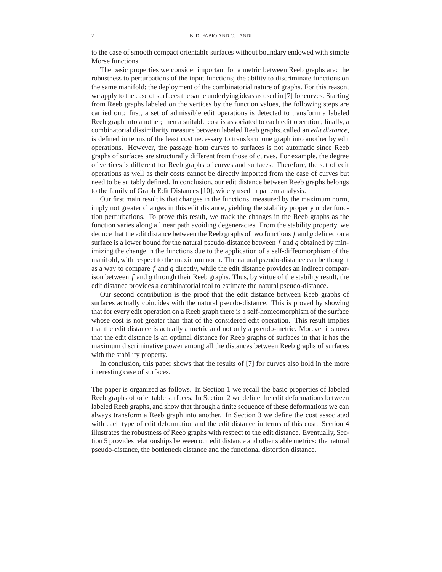to the case of smooth compact orientable surfaces without boundary endowed with simple Morse functions.

The basic properties we consider important for a metric between Reeb graphs are: the robustness to perturbations of the input functions; the ability to discriminate functions on the same manifold; the deployment of the combinatorial nature of graphs. For this reason, we apply to the case of surfaces the same underlying ideas as used in [7] for curves. Starting from Reeb graphs labeled on the vertices by the function values, the following steps are carried out: first, a set of admissible edit operations is detected to transform a labeled Reeb graph into another; then a suitable cost is associated to each edit operation; finally, a combinatorial dissimilarity measure between labeled Reeb graphs, called an *edit distance*, is defined in terms of the least cost necessary to transform one graph into another by edit operations. However, the passage from curves to surfaces is not automatic since Reeb graphs of surfaces are structurally different from those of curves. For example, the degree of vertices is different for Reeb graphs of curves and surfaces. Therefore, the set of edit operations as well as their costs cannot be directly imported from the case of curves but need to be suitably defined. In conclusion, our edit distance between Reeb graphs belongs to the family of Graph Edit Distances [10], widely used in pattern analysis.

Our first main result is that changes in the functions, measured by the maximum norm, imply not greater changes in this edit distance, yielding the stability property under function perturbations. To prove this result, we track the changes in the Reeb graphs as the function varies along a linear path avoiding degeneracies. From the stability property, we deduce that the edit distance between the Reeb graphs of two functions *f* and *g* defined on a surface is a lower bound for the natural pseudo-distance between *f* and *g* obtained by minimizing the change in the functions due to the application of a self-diffeomorphism of the manifold, with respect to the maximum norm. The natural pseudo-distance can be thought as a way to compare *f* and *g* directly, while the edit distance provides an indirect comparison between *f* and *g* through their Reeb graphs. Thus, by virtue of the stability result, the edit distance provides a combinatorial tool to estimate the natural pseudo-distance.

Our second contribution is the proof that the edit distance between Reeb graphs of surfaces actually coincides with the natural pseudo-distance. This is proved by showing that for every edit operation on a Reeb graph there is a self-homeomorphism of the surface whose cost is not greater than that of the considered edit operation. This result implies that the edit distance is actually a metric and not only a pseudo-metric. Morever it shows that the edit distance is an optimal distance for Reeb graphs of surfaces in that it has the maximum discriminative power among all the distances between Reeb graphs of surfaces with the stability property.

In conclusion, this paper shows that the results of [7] for curves also hold in the more interesting case of surfaces.

The paper is organized as follows. In Section 1 we recall the basic properties of labeled Reeb graphs of orientable surfaces. In Section 2 we define the edit deformations between labeled Reeb graphs, and show that through a finite sequence of these deformations we can always transform a Reeb graph into another. In Section 3 we define the cost associated with each type of edit deformation and the edit distance in terms of this cost. Section 4 illustrates the robustness of Reeb graphs with respect to the edit distance. Eventually, Section 5 provides relationships between our edit distance and other stable metrics: the natural pseudo-distance, the bottleneck distance and the functional distortion distance.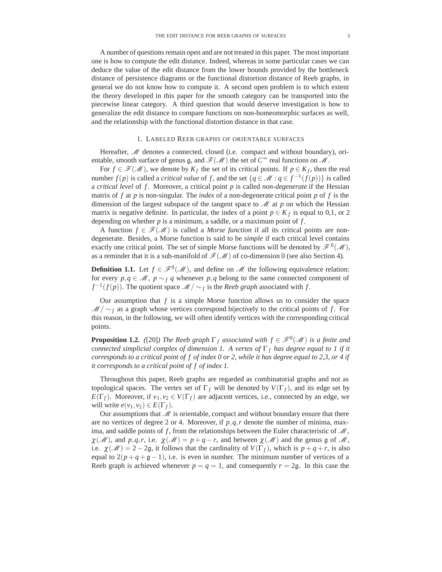A number of questions remain open and are not treated in this paper. The most important one is how to compute the edit distance. Indeed, whereas in some particular cases we can deduce the value of the edit distance from the lower bounds provided by the bottleneck distance of persistence diagrams or the functional distortion distance of Reeb graphs, in general we do not know how to compute it. A second open problem is to which extent the theory developed in this paper for the smooth category can be transported into the piecewise linear category. A third question that would deserve investigation is how to generalize the edit distance to compare functions on non-homeomorphic surfaces as well, and the relationship with the functional distortion distance in that case.

# 1. LABELED REEB GRAPHS OF ORIENTABLE SURFACES

Hereafter, *M* denotes a connected, closed (i.e. compact and without boundary), orientable, smooth surface of genus  $\mathfrak{g}$ , and  $\mathcal{F}(\mathcal{M})$  the set of  $C^{\infty}$  real functions on  $\mathcal{M}$ .

For  $f \in \mathcal{F}(\mathcal{M})$ , we denote by  $K_f$  the set of its critical points. If  $p \in K_f$ , then the real number *f*(*p*) is called a *critical value* of *f*, and the set  $\{q \in \mathcal{M} : q \in f^{-1}(f(p))\}$  is called a *critical level* of *f* . Moreover, a critical point *p* is called *non-degenerate* if the Hessian matrix of  $f$  at  $p$  is non-singular. The *index* of a non-degenerate critical point  $p$  of  $f$  is the dimension of the largest subspace of the tangent space to *M* at *p* on which the Hessian matrix is negative definite. In particular, the index of a point  $p \in K_f$  is equal to 0,1, or 2 depending on whether *p* is a minimum, a saddle, or a maximum point of *f* .

A function  $f \in \mathcal{F}(\mathcal{M})$  is called a *Morse function* if all its critical points are nondegenerate. Besides, a Morse function is said to be *simple* if each critical level contains exactly one critical point. The set of simple Morse functions will be denoted by  $\mathscr{F}^0(\mathscr{M})$ , as a reminder that it is a sub-manifold of  $\mathcal{F}(\mathcal{M})$  of co-dimension 0 (see also Section 4).

**Definition 1.1.** Let  $f \in \mathcal{F}^0(\mathcal{M})$ , and define on  $\mathcal{M}$  the following equivalence relation: for every  $p, q \in M$ ,  $p \sim_f q$  whenever  $p, q$  belong to the same connected component of  $f^{-1}(f(p))$ . The quotient space *M* / ∼ *f* is the *Reeb graph* associated with *f*.

Our assumption that  $f$  is a simple Morse function allows us to consider the space  $M/\sim_f$  as a graph whose vertices correspond bijectively to the critical points of *f*. For this reason, in the following, we will often identify vertices with the corresponding critical points.

**Proposition 1.2.** *(*[20]*)* The Reeb graph  $\Gamma_f$  associated with  $f \in \mathcal{F}^0(\mathcal{M})$  is a finite and *connected simplicial complex of dimension 1. A vertex of* Γ *<sup>f</sup> has degree equal to 1 if it corresponds to a critical point of f of index 0 or 2, while it has degree equal to 2,3, or 4 if it corresponds to a critical point of f of index 1.*

Throughout this paper, Reeb graphs are regarded as combinatorial graphs and not as topological spaces. The vertex set of  $\Gamma_f$  will be denoted by  $V(\Gamma_f)$ , and its edge set by *E*( $\Gamma$ *f*). Moreover, if  $v_1, v_2 \in V(\Gamma_f)$  are adjacent vertices, i.e., connected by an edge, we will write  $e(v_1, v_2) \in E(\Gamma_f)$ .

Our assumptions that *M* is orientable, compact and without boundary ensure that there are no vertices of degree 2 or 4. Moreover, if  $p, q, r$  denote the number of minima, maxima, and saddle points of *f* , from the relationships between the Euler characteristic of *M*,  $\chi(\mathcal{M})$ , and  $p,q,r$ , i.e.  $\chi(\mathcal{M}) = p+q-r$ , and between  $\chi(\mathcal{M})$  and the genus g of  $\mathcal{M}$ , i.e.  $\chi(\mathcal{M}) = 2 - 2g$ , it follows that the cardinality of  $V(\Gamma_f)$ , which is  $p + q + r$ , is also equal to  $2(p+q+g-1)$ , i.e. is even in number. The minimum number of vertices of a Reeb graph is achieved whenever  $p = q = 1$ , and consequently  $r = 2g$ . In this case the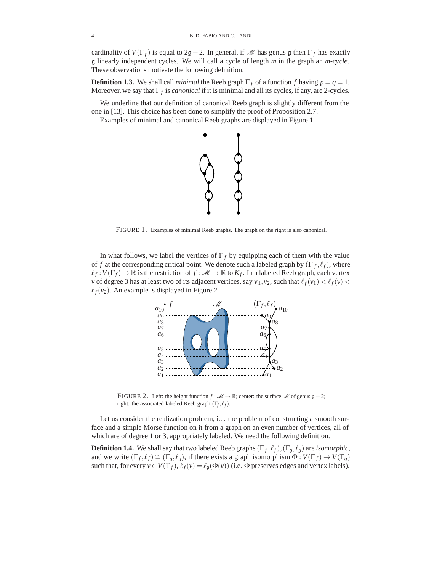cardinality of  $V(\Gamma_f)$  is equal to  $2g + 2$ . In general, if *M* has genus g then  $\Gamma_f$  has exactly g linearly independent cycles. We will call a cycle of length *<sup>m</sup>* in the graph an *<sup>m</sup>*-*cycle*. These observations motivate the following definition.

**Definition 1.3.** We shall call *minimal* the Reeb graph  $\Gamma_f$  of a function *f* having  $p = q = 1$ . Moreover, we say that  $\Gamma_f$  is *canonical* if it is minimal and all its cycles, if any, are 2-cycles.

We underline that our definition of canonical Reeb graph is slightly different from the one in [13]. This choice has been done to simplify the proof of Proposition 2.7.

Examples of minimal and canonical Reeb graphs are displayed in Figure 1.



FIGURE 1. Examples of minimal Reeb graphs. The graph on the right is also canonical.

In what follows, we label the vertices of  $\Gamma_f$  by equipping each of them with the value of *f* at the corresponding critical point. We denote such a labeled graph by  $(\Gamma_f, \ell_f)$ , where  $\ell_f: V(\Gamma_f) \to \mathbb{R}$  is the restriction of  $f: \mathcal{M} \to \mathbb{R}$  to  $K_f$ . In a labeled Reeb graph, each vertex *v* of degree 3 has at least two of its adjacent vertices, say  $v_1$ ,  $v_2$ , such that  $\ell_f(v_1) < \ell_f(v)$  $\ell_f(v_2)$ . An example is displayed in Figure 2.



FIGURE 2. Left: the height function  $f : \mathcal{M} \to \mathbb{R}$ ; center: the surface  $\mathcal{M}$  of genus  $g = 2$ ; right: the associated labeled Reeb graph  $(\Gamma_f, \ell_f)$ .

Let us consider the realization problem, i.e. the problem of constructing a smooth surface and a simple Morse function on it from a graph on an even number of vertices, all of which are of degree 1 or 3, appropriately labeled. We need the following definition.

**Definition 1.4.** We shall say that two labeled Reeb graphs  $(\Gamma_f, \ell_f), (\Gamma_g, \ell_g)$  are *isomorphic*, and we write  $(\Gamma_f, \ell_f) \cong (\Gamma_g, \ell_g)$ , if there exists a graph isomorphism  $\Phi: V(\Gamma_f) \to V(\Gamma_g)$ such that, for every  $v \in V(\Gamma_f)$ ,  $\ell_f(v) = \ell_g(\Phi(v))$  (i.e.  $\Phi$  preserves edges and vertex labels).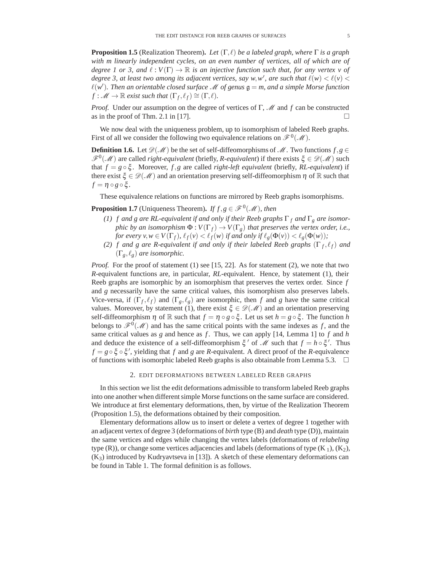**Proposition 1.5** (Realization Theorem). Let  $(Γ, ℓ)$  be a labeled graph, where Γ is a graph *with m linearly independent cycles, on an even number of vertices, all of which are of degree 1 or 3, and*  $\ell : V(\Gamma) \to \mathbb{R}$  *is an injective function such that, for any vertex v of degree 3, at least two among its adjacent vertices, say w,w', are such that*  $\ell(w) < \ell(v)$  <  $\ell(w')$ . Then an orientable closed surface *M* of genus  $\mathfrak{g} = m$ , and a simple Morse function  $f: M \to \mathbb{R}$  exist such that  $(\Gamma_{\ell}, \ell_{\ell}) \cong (\Gamma, \ell)$  $f: \mathscr{M} \to \mathbb{R}$  *exist such that*  $(\Gamma_f, \ell_f) \cong (\Gamma, \ell)$ *.* 

*Proof.* Under our assumption on the degree of vertices of Γ, *M* and *f* can be constructed as in the proof of Thm. 2.1 in [17].

We now deal with the uniqueness problem, up to isomorphism of labeled Reeb graphs. First of all we consider the following two equivalence relations on  $\mathscr{F}^0(\mathscr{M})$ .

**Definition 1.6.** Let  $\mathcal{D}(\mathcal{M})$  be the set of self-diffeomorphisms of  $\mathcal{M}$ . Two functions  $f, g \in$  $\mathscr{F}^0(\mathscr{M})$  are called *right-equivalent* (briefly, *R-equivalent*) if there exists  $\xi \in \mathscr{D}(\mathscr{M})$  such that *f* = *g* ◦ ξ . Moreover, *f*,*g* are called *right-left equivalent* (briefly, *RL-equivalent*) if there exist  $\xi \in \mathcal{D}(\mathcal{M})$  and an orientation preserving self-diffeomorphism  $\eta$  of R such that  $f = \eta \circ g \circ \xi$ .

These equivalence relations on functions are mirrored by Reeb graphs isomorphisms.

**Proposition 1.7** (Uniqueness Theorem). *If*  $f, g \in \mathcal{F}^0(\mathcal{M})$ , then

- *(1) f and g are RL-equivalent if and only if their Reeb graphs* Γ *<sup>f</sup> and* Γ*<sup>g</sup> are isomorphic by an isomorphism*  $\Phi: V(\Gamma_f) \to V(\Gamma_g)$  *that preserves the vertex order, i.e., for every*  $v, w \in V(\Gamma_f)$ ,  $\ell_f(v) < \ell_f(w)$  *if and only if*  $\ell_g(\Phi(v)) < \ell_g(\Phi(w))$ ;
- *(2) f* and *g* are *R*-equivalent if and only if their labeled Reeb graphs  $(\Gamma_f, \ell_f)$  and  $(\Gamma_g, \ell_g)$  are isomorphic.

*Proof.* For the proof of statement (1) see [15, 22]. As for statement (2), we note that two *R*-equivalent functions are, in particular, *RL*-equivalent. Hence, by statement (1), their Reeb graphs are isomorphic by an isomorphism that preserves the vertex order. Since *f* and *g* necessarily have the same critical values, this isomorphism also preserves labels. Vice-versa, if  $(\Gamma_f, \ell_f)$  and  $(\Gamma_g, \ell_g)$  are isomorphic, then *f* and *g* have the same critical values. Moreover, by statement (1), there exist  $\xi \in \mathcal{D}(\mathcal{M})$  and an orientation preserving self-diffeomorphism  $\eta$  of  $\mathbb R$  such that  $f = \eta \circ g \circ \xi$ . Let us set  $h = g \circ \xi$ . The function *h* belongs to  $\mathscr{F}^0(\mathscr{M})$  and has the same critical points with the same indexes as *f*, and the same critical values as *g* and hence as *f* . Thus, we can apply [14, Lemma 1] to *f* and *h* and deduce the existence of a self-diffeomorphism  $\xi'$  of  $\mathcal M$  such that  $f = h \circ \xi'$ . Thus  $f = g \circ \xi \circ \xi'$ , yielding that *f* and *g* are *R*-equivalent. A direct proof of the *R*-equivalence of functions with isomorphic labeled Reeb graphs is also obtainable from Lemma 5.3.  $\Box$ 

### 2. EDIT DEFORMATIONS BETWEEN LABELED REEB GRAPHS

In this section we list the edit deformations admissible to transform labeled Reeb graphs into one another when different simple Morse functions on the same surface are considered. We introduce at first elementary deformations, then, by virtue of the Realization Theorem (Proposition 1.5), the deformations obtained by their composition.

Elementary deformations allow us to insert or delete a vertex of degree 1 together with an adjacent vertex of degree 3 (deformations of *birth* type (B) and *death* type (D)), maintain the same vertices and edges while changing the vertex labels (deformations of *relabeling* type (R)), or change some vertices adjacencies and labels (deformations of type  $(K_1)$ ,  $(K_2)$ ,  $(K_3)$  introduced by Kudryavtseva in [13]). A sketch of these elementary deformations can be found in Table 1. The formal definition is as follows.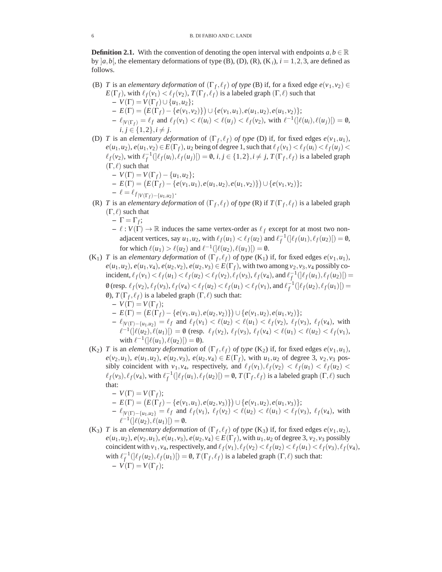**Definition 2.1.** With the convention of denoting the open interval with endpoints  $a, b \in \mathbb{R}$ by  $|a,b|$ , the elementary deformations of type (B), (D), (R), (K<sub>i</sub>),  $i = 1,2,3$ , are defined as follows.

- (B) *T* is an *elementary deformation* of  $(\Gamma_f, \ell_f)$  *of type* (B) if, for a fixed edge  $e(v_1, v_2) \in$  $E(\Gamma_f)$ , with  $\ell_f(v_1) < \ell_f(v_2)$ ,  $T(\Gamma_f, \ell_f)$  is a labeled graph  $(\Gamma, \ell)$  such that
	- **–** *V*(Γ) = *V*(Γ*f*)∪ {*u*1,*u*2};  $\mathcal{L}(F) = (E(\Gamma_f) - \{e(v_1, v_2)\}) \cup \{e(v_1, u_1), e(u_1, u_2), e(u_1, v_2)\};$  $-\ell_{|V(\Gamma_f)} = \ell_f$  and  $\ell_f(v_1) < \ell(u_i) < \ell(u_j) < \ell_f(v_2)$ , with  $\ell^{-1}(|\ell(u_i), \ell(u_j)|) = \emptyset$ , *i*, *j* ∈ {1, 2}, *i*  $\neq$  *j*.
- (D) *T* is an *elementary deformation* of  $(\Gamma_f, \ell_f)$  *of type* (D) if, for fixed edges  $e(\nu_1, u_1)$ ,  $e(u_1, u_2), e(u_1, v_2) \in E(\Gamma_f)$ ,  $u_2$  being of degree 1, such that  $\ell_f(v_1) < \ell_f(u_i) < \ell_f(u_j)$  $\ell_f(v_2)$ , with  $\ell_f^{-1}(\ell_f(u_i), \ell_f(u_j)) = \emptyset$ ,  $i, j \in \{1, 2\}, i \neq j$ ,  $T(\Gamma_f, \ell_f)$  is a labeled graph  $(\Gamma, \ell)$  such that
	- **–** *V*(Γ) = *V*(Γ*f*)− {*u*1,*u*2};
	- $E(\Gamma) = (E(\Gamma_f) \{e(v_1, u_1), e(u_1, u_2), e(u_1, v_2)\}) \cup \{e(v_1, v_2)\};$  $-\ell = \ell_{f|V(\Gamma_f) - \{u_1, u_2\}}$ .
- (R) *T* is an *elementary deformation* of  $(\Gamma_f, \ell_f)$  *of type* (R) if  $T(\Gamma_f, \ell_f)$  is a labeled graph  $(\Gamma, \ell)$  such that
	- $-\Gamma = \Gamma_f$ ;

 $- \ell : V(\Gamma) \to \mathbb{R}$  induces the same vertex-order as  $\ell_f$  except for at most two nonadjacent vertices, say  $u_1, u_2$ , with  $\ell_f(u_1) < \ell_f(u_2)$  and  $\ell_f^{-1}(\ell_f(u_1), \ell_f(u_2)) = \emptyset$ , for which  $\ell(u_1) > \ell(u_2)$  and  $\ell^{-1}([\ell(u_2), \ell(u_1)]) = \emptyset$ .

- $(K_1)$  *T* is an *elementary deformation* of  $(\Gamma_f, \ell_f)$  *of type*  $(K_1)$  if, for fixed edges  $e(\nu_1, u_1)$ ,  $e(u_1, u_2)$ ,  $e(u_1, v_4)$ ,  $e(u_2, v_2)$ ,  $e(u_2, v_3) \in E(\Gamma_f)$ , with two among  $v_2, v_3, v_4$  possibly coincident,  $\ell_f(v_1) < \ell_f(u_1) < \ell_f(u_2) < \ell_f(v_2)$ ,  $\ell_f(v_3)$ ,  $\ell_f(v_4)$ , and  $\ell_f^{-1}(\ell_f(u_1), \ell_f(u_2)) =$ 0 (resp.  $\ell_f(v_2)$ ,  $\ell_f(v_3)$ ,  $\ell_f(v_4) < \ell_f(u_2) < \ell_f(u_1) < \ell_f(v_1)$ , and  $\ell_f^{-1}(\ell_f(u_2), \ell_f(u_1)) =$ 0),  $T(\Gamma_f, \ell_f)$  is a labeled graph  $(\Gamma, \ell)$  such that:  $-V(\Gamma) = V(\Gamma_f);$ 
	- $\mathcal{L}(F) = (E(\Gamma_f) \{e(v_1, u_1), e(u_2, v_2)\}) \cup \{e(v_1, u_2), e(u_1, v_2)\};$
	- $-\ell_{|V(\Gamma) \{u_1, u_2\}} = \ell_f$  and  $\ell_f(v_1) < \ell(u_2) < \ell(u_1) < \ell_f(v_2)$ ,  $\ell_f(v_3)$ ,  $\ell_f(v_4)$ , with  $\ell^{-1}(|\ell(u_2), \ell(u_1)|) = \emptyset$  (resp.  $\ell_f(v_2), \ell_f(v_3), \ell_f(v_4) < \ell(u_1) < \ell(u_2) < \ell_f(v_1)$ ), with  $\ell^{-1}([\ell(u_1), \ell(u_2)]) = \emptyset$ ).
- $(K_2)$  *T* is an *elementary deformation* of  $(\Gamma_f, \ell_f)$  *of type*  $(K_2)$  if, for fixed edges  $e(\nu_1, u_1)$ ,  $e(v_2, u_1)$ ,  $e(u_1, u_2)$ ,  $e(u_2, v_3)$ ,  $e(u_2, v_4) \in E(\Gamma_f)$ , with  $u_1, u_2$  of degree 3,  $v_2, v_3$  possibly coincident with  $v_1, v_4$ , respectively, and  $\ell_f(v_1), \ell_f(v_2) < \ell_f(u_1) < \ell_f(u_2)$  $\ell_f(v_3), \ell_f(v_4)$ , with  $\ell_f^{-1}(\ell_f(u_1), \ell_f(u_2)$  = 0,  $T(\Gamma_f, \ell_f)$  is a labeled graph  $(\Gamma, \ell)$  such that:
	- $-V(\Gamma) = V(\Gamma_f);$
	- $\mathcal{L}(F) = (E(\Gamma_f) \{e(v_1, u_1), e(u_2, v_3)\}) \cup \{e(v_1, u_2), e(u_1, v_3)\};$
	- $-\ell_{|V(\Gamma) \{u_1, u_2\}} = \ell_f$  and  $\ell_f(v_1), \ell_f(v_2) < \ell(u_2) < \ell(u_1) < \ell_f(v_3), \ell_f(v_4)$ , with  $\ell^{-1}([\ell(u_2), \ell(u_1)]) = \emptyset.$
- (K<sub>3</sub>) *T* is an *elementary deformation* of  $(\Gamma_f, \ell_f)$  *of type* (K<sub>3</sub>) if, for fixed edges  $e(\nu_1, u_2)$ ,  $e(u_1, u_2)$ ,  $e(v_2, u_1)$ ,  $e(u_1, v_3)$ ,  $e(u_2, v_4) \in E(\Gamma_f)$ , with  $u_1, u_2$  of degree 3,  $v_2, v_3$  possibly coincident with  $v_1, v_4$ , respectively, and  $\ell_f(v_1), \ell_f(v_2) < \ell_f(u_2) < \ell_f(u_1) < \ell_f(v_3), \ell_f(v_4)$ , with  $\ell_f^{-1}(\ell_f(u_2), \ell_f(u_1)[) = 0$ ,  $T(\Gamma_f, \ell_f)$  is a labeled graph  $(\Gamma, \ell)$  such that:  $-V(\Gamma) = V(\Gamma_f);$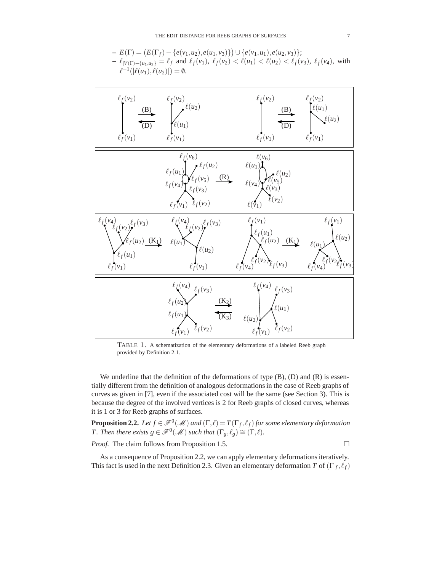$$
- E(\Gamma) = (E(\Gamma_f) - \{e(v_1, u_2), e(u_1, v_3)\}) \cup \{e(v_1, u_1), e(u_2, v_3)\};
$$
  
\n
$$
- \ell_{|V(\Gamma) - \{u_1, u_2\}} = \ell_f \text{ and } \ell_f(v_1), \ell_f(v_2) < \ell(u_1) < \ell(u_2) < \ell_f(v_3), \ell_f(v_4), \text{ with}
$$
  
\n
$$
\ell^{-1}(|\ell(u_1), \ell(u_2)|) = 0.
$$



TABLE 1. A schematization of the elementary deformations of a labeled Reeb graph provided by Definition 2.1.

We underline that the definition of the deformations of type (B), (D) and (R) is essentially different from the definition of analogous deformations in the case of Reeb graphs of curves as given in [7], even if the associated cost will be the same (see Section 3). This is because the degree of the involved vertices is 2 for Reeb graphs of closed curves, whereas it is 1 or 3 for Reeb graphs of surfaces.

**Proposition 2.2.** Let  $f \in \mathscr{F}^0(\mathscr{M})$  and  $(\Gamma, \ell) = T(\Gamma_f, \ell_f)$  for some elementary deformation *T. Then there exists*  $g \in \mathscr{F}^0(\mathscr{M})$  *such that*  $(\Gamma_g, \ell_g) \cong (\Gamma, \ell)$ *.* 

*Proof.* The claim follows from Proposition 1.5.

 $\Box$ 

As a consequence of Proposition 2.2, we can apply elementary deformations iteratively. This fact is used in the next Definition 2.3. Given an elementary deformation *T* of  $(\Gamma_f, \ell_f)$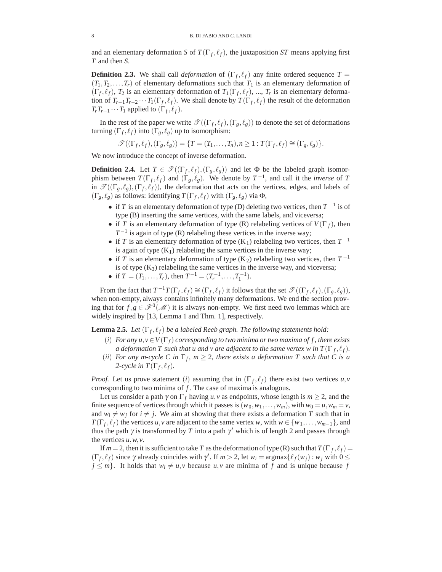and an elementary deformation *S* of  $T(\Gamma_f, \ell_f)$ , the juxtaposition *ST* means applying first *T* and then *S*.

**Definition 2.3.** We shall call *deformation* of  $(\Gamma_f, \ell_f)$  any finite ordered sequence  $T =$  $(T_1, T_2, \ldots, T_r)$  of elementary deformations such that  $T_1$  is an elementary deformation of  $(\Gamma_f, \ell_f)$ ,  $T_2$  is an elementary deformation of  $T_1(\Gamma_f, \ell_f)$ , ...,  $T_r$  is an elementary deformation of  $T_{r-1}T_{r-2}\cdots T_1(\Gamma_f,\ell_f)$ . We shall denote by  $T(\Gamma_f,\ell_f)$  the result of the deformation  $T_r T_{r-1} \cdots T_1$  applied to  $(\Gamma_f, \ell_f)$ .

In the rest of the paper we write  $\mathcal{T}((\Gamma_f, \ell_f), (\Gamma_g, \ell_g))$  to denote the set of deformations turning  $(\Gamma_f, \ell_f)$  into  $(\Gamma_g, \ell_g)$  up to isomorphism:

$$
\mathcal{T}((\Gamma_f,\ell_f),(\Gamma_g,\ell_g)) = \{T = (T_1,\ldots,T_n), n \geq 1 : T(\Gamma_f,\ell_f) \cong (\Gamma_g,\ell_g)\}.
$$

We now introduce the concept of inverse deformation.

**Definition 2.4.** Let  $T \in \mathcal{T}((\Gamma_f, \ell_f), (\Gamma_g, \ell_g))$  and let  $\Phi$  be the labeled graph isomorphism between  $T(\Gamma_f, \ell_f)$  and  $(\Gamma_g, \ell_g)$ . We denote by  $T^{-1}$ , and call it the *inverse* of *T* in  $\mathcal{T}((\Gamma_g, \ell_g), (\Gamma_f, \ell_f))$ , the deformation that acts on the vertices, edges, and labels of  $(\Gamma_g, \ell_g)$  as follows: identifying  $T(\Gamma_f, \ell_f)$  with  $(\Gamma_g, \ell_g)$  via  $\Phi$ ,

- if *T* is an elementary deformation of type (D) deleting two vertices, then *T* <sup>−</sup><sup>1</sup> is of type (B) inserting the same vertices, with the same labels, and viceversa;
- if *T* is an elementary deformation of type (R) relabeling vertices of  $V(\Gamma_f)$ , then  $T^{-1}$  is again of type (R) relabeling these vertices in the inverse way;
- if *T* is an elementary deformation of type  $(K_1)$  relabeling two vertices, then  $T^{-1}$ is again of type  $(K_1)$  relabeling the same vertices in the inverse way;
- if *T* is an elementary deformation of type  $(K_2)$  relabeling two vertices, then  $T^{-1}$ is of type  $(K_3)$  relabeling the same vertices in the inverse way, and viceversa;
- if  $T = (T_1, \ldots, T_r)$ , then  $T^{-1} = (T_r^{-1}, \ldots, T_1^{-1})$ .

From the fact that  $T^{-1}T(\Gamma_f, \ell_f) \cong (\Gamma_f, \ell_f)$  it follows that the set  $\mathcal{T}((\Gamma_f, \ell_f), (\Gamma_g, \ell_g))$ , when non-empty, always contains infinitely many deformations. We end the section proving that for  $f, g \in \mathscr{F}^0(\mathscr{M})$  it is always non-empty. We first need two lemmas which are widely inspired by [13, Lemma 1 and Thm. 1], respectively.

**Lemma 2.5.** *Let*  $(\Gamma_f, \ell_f)$  *be a labeled Reeb graph. The following statements hold:* 

- (*i*) *For any*  $u, v \in V(\Gamma_f)$  *corresponding to two minima or two maxima of f, there exists a deformation T such that u and v are adjacent to the same vertex w in*  $T(\Gamma_f, \ell_f)$ *.*
- (*ii*) *For any m-cycle C in*  $\Gamma_f$ ,  $m \geq 2$ , there exists a deformation T such that C is a 2-cycle in  $T(\Gamma_f, \ell_f)$ .

*Proof.* Let us prove statement (*i*) assuming that in  $(\Gamma_f, \ell_f)$  there exist two vertices  $u, v$ corresponding to two minima of *f*. The case of maxima is analogous.

Let us consider a path  $\gamma$  on  $\Gamma_f$  having *u*, *v* as endpoints, whose length is  $m \geq 2$ , and the finite sequence of vertices through which it passes is  $(w_0, w_1, \ldots, w_m)$ , with  $w_0 = u, w_m = v$ , and  $w_i \neq w_j$  for  $i \neq j$ . We aim at showing that there exists a deformation *T* such that in *T*( $\Gamma_f$ ,  $\ell_f$ ) the vertices *u*, *v* are adjacent to the same vertex *w*, with  $w \in \{w_1, \ldots, w_{m-1}\}$ , and thus the path  $\gamma$  is transformed by *T* into a path  $\gamma'$  which is of length 2 and passes through the vertices *u*,*w*,*v*.

If  $m = 2$ , then it is sufficient to take *T* as the deformation of type (R) such that  $T(\Gamma_f, \ell_f) =$  $(\Gamma_f, \ell_f)$  since  $\gamma$  already coincides with  $\gamma'$ . If  $m > 2$ , let  $w_i = \argmax{\{\ell_f(w_j) : w_j \text{ with } 0 \leq j \}}$  $j \leq m$ . It holds that  $w_i \neq u, v$  because  $u, v$  are minima of f and is unique because f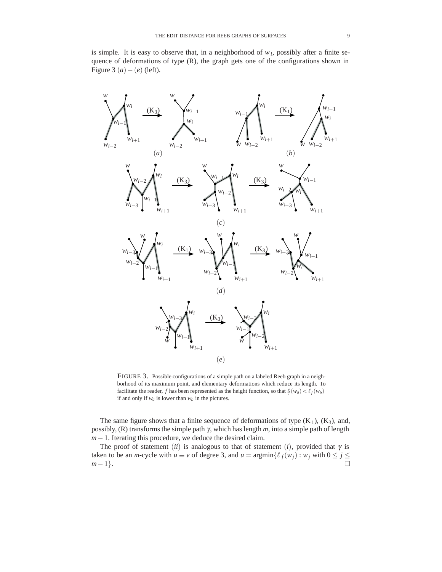is simple. It is easy to observe that, in a neighborhood of  $w_i$ , possibly after a finite sequence of deformations of type  $(R)$ , the graph gets one of the configurations shown in Figure 3 (*a*)−(*e*) (left).



FIGURE 3. Possible configurations of a simple path on a labeled Reeb graph in a neighborhood of its maximum point, and elementary deformations which reduce its length. To facilitate the reader, *f* has been represented as the height function, so that  $\oint_{f}(w_a) < \oint_{f}(w_b)$ if and only if  $w_a$  is lower than  $w_b$  in the pictures.

The same figure shows that a finite sequence of deformations of type  $(K_1)$ ,  $(K_3)$ , and, possibly, (R) transforms the simple path γ, which has length *m*, into a simple path of length *m*−1. Iterating this procedure, we deduce the desired claim.

The proof of statement (*ii*) is analogous to that of statement (*i*), provided that  $\gamma$  is taken to be an *m*-cycle with  $u \equiv v$  of degree 3, and  $u = \text{argmin}\{\ell_f(w_j) : w_j \text{ with } 0 \le j \le n\}$ *m*−1}.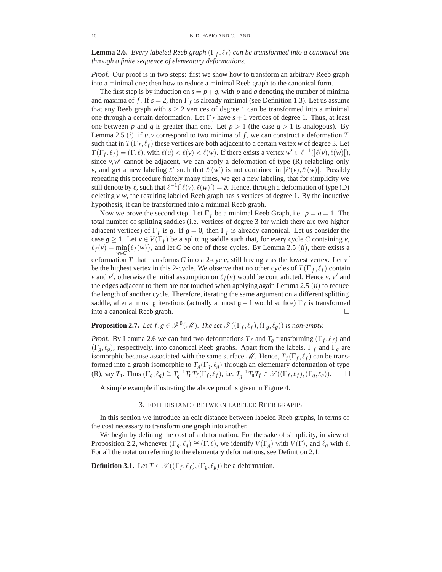**Lemma 2.6.** *Every labeled Reeb graph*  $(\Gamma_f, \ell_f)$  *can be transformed into a canonical one through a finite sequence of elementary deformations.*

*Proof.* Our proof is in two steps: first we show how to transform an arbitrary Reeb graph into a minimal one; then how to reduce a minimal Reeb graph to the canonical form.

The first step is by induction on  $s = p + q$ , with p and q denoting the number of minima and maxima of *f*. If  $s = 2$ , then  $\Gamma_f$  is already minimal (see Definition 1.3). Let us assume that any Reeb graph with  $s \geq 2$  vertices of degree 1 can be transformed into a minimal one through a certain deformation. Let  $\Gamma_f$  have  $s+1$  vertices of degree 1. Thus, at least one between *p* and *q* is greater than one. Let  $p > 1$  (the case  $q > 1$  is analogous). By Lemma 2.5 (*i*), if  $u, v$  correspond to two minima of  $f$ , we can construct a deformation  $T$ such that in  $T(\Gamma_f, \ell_f)$  these vertices are both adjacent to a certain vertex *w* of degree 3. Let  $T(\Gamma_f, \ell_f) = (\Gamma, \ell)$ , with  $\ell(u) < \ell(v) < \ell(w)$ . If there exists a vertex  $w' \in \ell^{-1}(\ell(v), \ell(w))$ , since  $v, w'$  cannot be adjacent, we can apply a deformation of type (R) relabeling only *v*, and get a new labeling  $\ell'$  such that  $\ell'(w')$  is not contained in  $\ell'(v)$ ,  $\ell'(w)$ . Possibly repeating this procedure finitely many times, we get a new labeling, that for simplicity we still denote by  $\ell$ , such that  $\ell^{-1}(\ell(\nu), \ell(w)') = \emptyset$ . Hence, through a deformation of type (D) deleting *v*,*w*, the resulting labeled Reeb graph has *s* vertices of degree 1. By the inductive hypothesis, it can be transformed into a minimal Reeb graph.

Now we prove the second step. Let  $\Gamma_f$  be a minimal Reeb Graph, i.e.  $p = q = 1$ . The total number of splitting saddles (i.e. vertices of degree 3 for which there are two higher adjacent vertices) of  $\Gamma_f$  is g. If  $g = 0$ , then  $\Gamma_f$  is already canonical. Let us consider the case  $g \ge 1$ . Let  $v \in V(\Gamma_f)$  be a splitting saddle such that, for every cycle *C* containing *v*,  $\ell_f(v) = \min_{w \in C} {\ell_f(w)}$ , and let *C* be one of these cycles. By Lemma 2.5 (*ii*), there exists a deformation *T* that transforms *C* into a 2-cycle, still having *v* as the lowest vertex. Let  $v'$ be the highest vertex in this 2-cycle. We observe that no other cycles of  $T(\Gamma_f, \ell_f)$  contain *v* and *v*<sup>'</sup>, otherwise the initial assumption on  $\ell_f(v)$  would be contradicted. Hence *v*, *v*<sup>'</sup> and the edges adjacent to them are not touched when applying again Lemma 2.5 (*ii*) to reduce the length of another cycle. Therefore, iterating the same argument on a different splitting saddle, after at most g iterations (actually at most  $\mathfrak{g} - 1$  would suffice)  $\Gamma_f$  is transformed into a canonical Reeb graph.  $\Box$ 

# **Proposition 2.7.** *Let*  $f, g \in \mathscr{F}^0(\mathscr{M})$ *. The set*  $\mathscr{T}((\Gamma_f, \ell_f), (\Gamma_g, \ell_g))$  *is non-empty.*

*Proof.* By Lemma 2.6 we can find two deformations  $T_f$  and  $T_g$  transforming  $(\Gamma_f, \ell_f)$  and  $(\Gamma_g, \ell_g)$ , respectively, into canonical Reeb graphs. Apart from the labels,  $\Gamma_f$  and  $\Gamma_g$  are isomorphic because associated with the same surface  $\mathcal{M}$ . Hence,  $T_f(\Gamma_f, \ell_f)$  can be transformed into a graph isomorphic to  $T_g(\Gamma_g, \ell_g)$  through an elementary deformation of type (R), say  $T_R$ . Thus  $(\Gamma_g, \ell_g) \cong T_g^{-1} T_R T_f(\Gamma_f, \ell_f)$ , i.e.  $T_g^{-1} T_R T_f \in \mathcal{T}((\Gamma_f, \ell_f), (\Gamma_g, \ell_g))$ .

A simple example illustrating the above proof is given in Figure 4.

# 3. EDIT DISTANCE BETWEEN LABELED REEB GRAPHS

In this section we introduce an edit distance between labeled Reeb graphs, in terms of the cost necessary to transform one graph into another.

We begin by defining the cost of a deformation. For the sake of simplicity, in view of Proposition 2.2, whenever  $(\Gamma_g, \ell_g) \cong (\Gamma, \ell)$ , we identify  $V(\Gamma_g)$  with  $V(\Gamma)$ , and  $\ell_g$  with  $\ell$ . For all the notation referring to the elementary deformations, see Definition 2.1.

**Definition 3.1.** Let  $T \in \mathcal{T}((\Gamma_f, \ell_f), (\Gamma_g, \ell_g))$  be a deformation.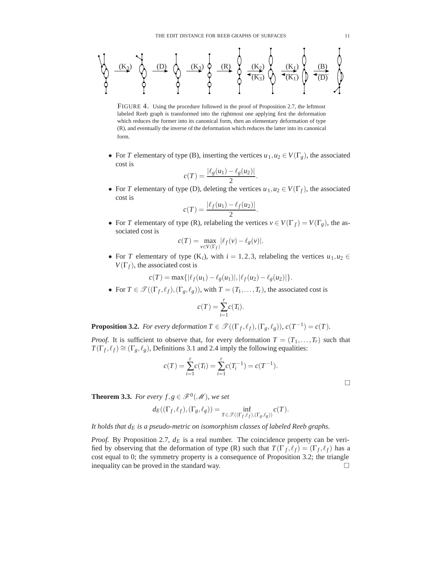(R) (K1) (K2) (K1) (K3) (K3) (K3) (D) (D) (B)

FIGURE 4. Using the procedure followed in the proof of Proposition 2.7, the leftmost labeled Reeb graph is transformed into the rightmost one applying first the deformation which reduces the former into its canonical form, then an elementary deformation of type (R), and eventually the inverse of the deformation which reduces the latter into its canonical form.

• For *T* elementary of type (B), inserting the vertices  $u_1, u_2 \in V(\Gamma_g)$ , the associated cost is

$$
c(T) = \frac{|\ell_g(u_1) - \ell_g(u_2)|}{2}.
$$

• For *T* elementary of type (D), deleting the vertices  $u_1, u_2 \in V(\Gamma_f)$ , the associated cost is

$$
c(T) = \frac{|\ell_f(u_1) - \ell_f(u_2)|}{2}.
$$

• For *T* elementary of type (R), relabeling the vertices  $v \in V(\Gamma_f) = V(\Gamma_g)$ , the associated cost is

$$
c(T) = \max_{v \in V(\Gamma_f)} |\ell_f(v) - \ell_g(v)|.
$$

• For *T* elementary of type  $(K_i)$ , with  $i = 1, 2, 3$ , relabeling the vertices  $u_1, u_2 \in$  $V(\Gamma_f)$ , the associated cost is

$$
c(T) = \max\{|\ell_f(u_1) - \ell_g(u_1)|, |\ell_f(u_2) - \ell_g(u_2)|\}.
$$

• For  $T \in \mathcal{T}((\Gamma_f, \ell_f), (\Gamma_g, \ell_g))$ , with  $T = (T_1, \ldots, T_r)$ , the associated cost is

$$
c(T) = \sum_{i=1}^{r} c(T_i).
$$

**Proposition 3.2.** *For every deformation*  $T \in \mathcal{T}((\Gamma_f, \ell_f), (\Gamma_g, \ell_g))$ ,  $c(T^{-1}) = c(T)$ *.* 

*Proof.* It is sufficient to observe that, for every deformation  $T = (T_1, \ldots, T_r)$  such that  $T(\Gamma_f, \ell_f) \cong (\Gamma_g, \ell_g)$ , Definitions 3.1 and 2.4 imply the following equalities:

$$
c(T) = \sum_{i=1}^{r} c(T_i) = \sum_{i=1}^{r} c(T_i^{-1}) = c(T^{-1}).
$$

**Theorem 3.3.** *For every f*,  $g \in \mathcal{F}^0(\mathcal{M})$ *, we set* 

$$
d_E((\Gamma_f, \ell_f), (\Gamma_g, \ell_g)) = \inf_{T \in \mathcal{T}((\Gamma_f, \ell_f), (\Gamma_g, \ell_g))} c(T).
$$

It holds that  $d_E$  *is a pseudo-metric on isomorphism classes of labeled Reeb graphs.* 

*Proof.* By Proposition 2.7,  $d_E$  is a real number. The coincidence property can be verified by observing that the deformation of type (R) such that  $T(\Gamma_f, \ell_f) = (\Gamma_f, \ell_f)$  has a cost equal to 0; the symmetry property is a consequence of Proposition 3.2; the triangle inequality can be proved in the standard way.  $\Box$ 

 $\Box$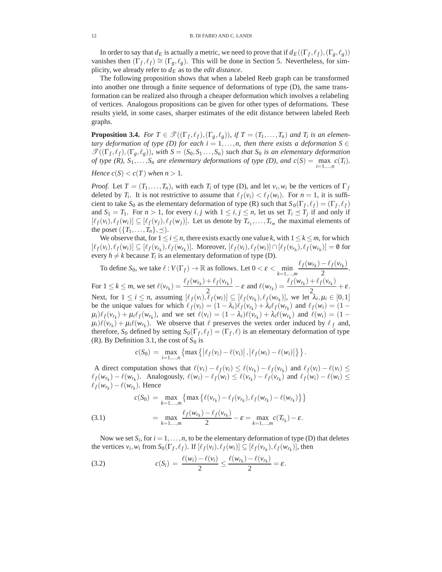In order to say that  $d_E$  is actually a metric, we need to prove that if  $d_E((\Gamma_f, \ell_f), (\Gamma_g, \ell_g))$ vanishes then  $(\Gamma_f, \ell_f) \cong (\Gamma_g, \ell_g)$ . This will be done in Section 5. Nevertheless, for simplicity, we already refer to  $d_E$  as to the *edit distance*.

The following proposition shows that when a labeled Reeb graph can be transformed into another one through a finite sequence of deformations of type (D), the same transformation can be realized also through a cheaper deformation which involves a relabeling of vertices. Analogous propositions can be given for other types of deformations. These results yield, in some cases, sharper estimates of the edit distance between labeled Reeb graphs.

**Proposition 3.4.** *For*  $T \in \mathcal{T}((\Gamma_f, \ell_f), (\Gamma_g, \ell_g))$ , if  $T = (T_1, \ldots, T_n)$  and  $T_i$  is an elemen*tary deformation of type (D) for each i* = 1,...,*n*, *then there exists a deformation*  $S \in$  $\mathscr{T}((\Gamma_f, \ell_f), (\Gamma_g, \ell_g))$ , with  $S = (S_0, S_1, \ldots, S_n)$  *such that*  $S_0$  *is an elementary deformation of type*  $(R)$ ,  $S_1, \ldots, S_n$  *are elementary deformations of type*  $(D)$ *, and*  $c(S) = \max_{i=1,\ldots,n} c(T_i)$ *.* 

*Hence*  $c(S) < c(T)$  *when*  $n > 1$ *.* 

*Proof.* Let  $T = (T_1, \ldots, T_n)$ , with each  $T_i$  of type (D), and let  $v_i, w_i$  be the vertices of  $\Gamma_f$ deleted by  $T_i$ . It is not restrictive to assume that  $\ell_f(v_i) < \ell_f(w_i)$ . For  $n = 1$ , it is sufficient to take *S*<sup>0</sup> as the elementary deformation of type (R) such that  $S_0(\Gamma_f, \ell_f) = (\Gamma_f, \ell_f)$ and  $S_1 = T_1$ . For  $n > 1$ , for every *i*, *j* with  $1 \le i, j \le n$ , let us set  $T_i \le T_j$  if and only if  $[\ell_f(v_i), \ell_f(w_i)] \subseteq [\ell_f(v_j), \ell_f(w_j)]$ . Let us denote by  $T_{r_1}, \ldots, T_{r_m}$  the maximal elements of the poset  $({T_1},\ldots,T_n), \preceq$ ).

We observe that, for  $1 \le i \le n$ , there exists exactly one value *k*, with  $1 \le k \le m$ , for which  $[\ell_f(v_i), \ell_f(w_i)] \subseteq [\ell_f(v_{r_k}), \ell_f(w_{r_k})]$ . Moreover,  $[\ell_f(v_i), \ell_f(w_i)] \cap [\ell_f(v_{r_h}), \ell_f(w_{r_h})] = \emptyset$  for every  $h \neq k$  because  $T_i$  is an elementary deformation of type (D).

To define  $S_0$ , we take  $\ell : V(\Gamma_f) \to \mathbb{R}$  as follows. Let  $0 < \varepsilon < \min_{k=1,\dots,m}$  $\frac{\ell_f(w_{r_k}) - \ell_f(v_{r_k})}{2}$ . For  $1 \le k \le m$ , we set  $\ell(v_{r_k}) = \frac{\ell_f(w_{r_k}) + \ell_f(v_{r_k})}{2} - \varepsilon$  and  $\ell(w_{r_k}) = \frac{\ell_f(w_{r_k}) + \ell_f(v_{r_k})}{2} + \varepsilon$ . Next, for  $1 \le i \le n$ , assuming  $[\ell_f(v_i), \ell_f(w_i)] \subseteq [\ell_f(v_{r_k}), \ell_f(w_{r_k})]$ , we let  $\lambda_i, \mu_i \in [0, 1]$ be the unique values for which  $\ell_f(v_i) = (1 - \lambda_i)\ell_f(v_{r_k}) + \lambda_i\ell_f(w_{r_k})$  and  $\ell_f(w_i) = (1 - \lambda_i)\ell_f(w_{r_k})$  $\mu_i\ell_f(v_{r_k}) + \mu_i\ell_f(w_{r_k})$ , and we set  $\ell(v_i) = (1 - \lambda_i)\ell(v_{r_k}) + \lambda_i\ell(w_{r_k})$  and  $\ell(w_i) = (1 - \lambda_i)\ell(v_{r_k}) + \lambda_i\ell(w_{r_k})$  $\mu_i(\nu_{r_k}) + \mu_i(\nu_{r_k})$ . We observe that  $\ell$  preserves the vertex order induced by  $\ell_f$  and, therefore, *S*<sub>0</sub> defined by setting  $S_0(\Gamma_f, \ell_f) = (\Gamma_f, \ell)$  is an elementary deformation of type (R). By Definition 3.1, the cost of  $S_0$  is

$$
c(S_0) = \max_{i=1,\dots,n} \{ \max \{ |\ell_f(v_i) - \ell(v_i)|, |\ell_f(w_i) - \ell(w_i)| \} \}.
$$

A direct computation shows that  $\ell(v_i) - \ell_f(v_i) \leq \ell(v_{r_k}) - \ell_f(v_{r_k})$  and  $\ell_f(v_i) - \ell(v_i) \leq$  $\ell_f(w_{r_k}) - \ell(w_{r_k})$ . Analogously,  $\ell(w_i) - \ell_f(w_i) \leq \ell(v_{r_k}) - \ell_f(v_{r_k})$  and  $\ell_f(w_i) - \ell(w_i) \leq$  $\ell_f(w_{r_k}) - \ell(w_{r_k})$ . Hence

(3.1) 
$$
c(S_0) = \max_{k=1,...,m} \{ \max \{ \ell(v_{r_k}) - \ell_f(v_{r_k}), \ell_f(w_{r_k}) - \ell(w_{r_k}) \} \}
$$

$$
= \max_{k=1,...,m} \frac{\ell_f(w_{r_k}) - \ell_f(v_{r_k})}{2} - \varepsilon = \max_{k=1,...,m} c(T_{r_k}) - \varepsilon.
$$

Now we set  $S_i$ , for  $i = 1, \ldots, n$ , to be the elementary deformation of type (D) that deletes the vertices  $v_i, w_i$  from  $S_0(\Gamma_f, \ell_f)$ . If  $[\ell_f(v_i), \ell_f(w_i)] \subseteq [\ell_f(v_{r_k}), \ell_f(w_{r_k})]$ , then

(3.2) 
$$
c(S_i) = \frac{\ell(w_i) - \ell(v_i)}{2} \le \frac{\ell(w_{r_k}) - \ell(v_{r_k})}{2} = \varepsilon.
$$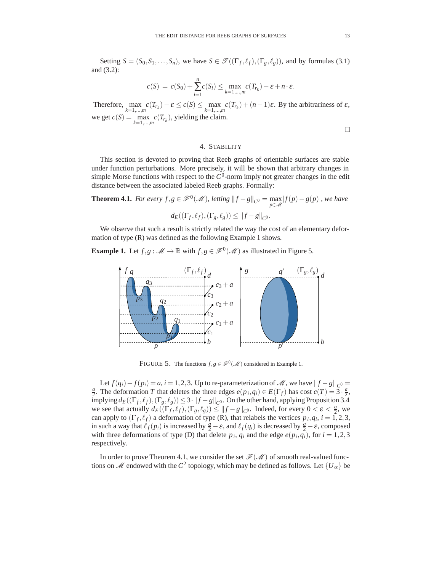Setting  $S = (S_0, S_1, \ldots, S_n)$ , we have  $S \in \mathcal{T}((\Gamma_f, \ell_f), (\Gamma_g, \ell_g))$ , and by formulas (3.1) and (3.2):

$$
c(S) = c(S_0) + \sum_{i=1}^n c(S_i) \le \max_{k=1,\dots,m} c(T_{r_k}) - \varepsilon + n \cdot \varepsilon.
$$

Therefore,  $\max_{k=1,\dots,m} c(T_{r_k}) - \varepsilon \le c(S) \le \max_{k=1,\dots,m} c(T_{r_k}) + (n-1)\varepsilon$ . By the arbitrariness of  $\varepsilon$ , we get  $c(S) = \max_{k=1,\dots,m} c(T_{r_k})$ , yielding the claim.

 $\Box$ 

# 4. STABILITY

This section is devoted to proving that Reeb graphs of orientable surfaces are stable under function perturbations. More precisely, it will be shown that arbitrary changes in simple Morse functions with respect to the  $C^0$ -norm imply not greater changes in the edit distance between the associated labeled Reeb graphs. Formally:

**Theorem 4.1.** *For every f*,*g* ∈  $\mathcal{F}^0(\mathcal{M})$ *, letting*  $||f - g||_{C^0} = \max_{p \in \mathcal{M}} |f(p) - g(p)|$ *, we have*  $d_E((\Gamma_f, \ell_f), (\Gamma_g, \ell_g)) \leq ||f - g||_{C^0}.$ 

We observe that such a result is strictly related the way the cost of an elementary deformation of type (R) was defined as the following Example 1 shows.

**Example 1.** Let  $f, g : \mathcal{M} \to \mathbb{R}$  with  $f, g \in \mathcal{F}^0(\mathcal{M})$  as illustrated in Figure 5.



FIGURE 5. The functions  $f, g \in \mathcal{F}^0(\mathcal{M})$  considered in Example 1.

Let  $f(q_i) - f(p_i) = a$ ,  $i = 1, 2, 3$ . Up to re-parameterization of *M*, we have  $||f - g||_{C^0} =$  $\frac{a}{2}$ . The deformation *T* that deletes the three edges  $e(p_i, q_i) \in E(\Gamma_f)$  has cost  $c(T) = 3 \cdot \frac{a}{2}$ ,  $\limplying d_E((\Gamma_f, \ell_f), (\Gamma_g, \ell_g)) \leq 3 \cdot ||f - g||_{C^0}$ . On the other hand, applying Proposition 3.4 we see that actually  $d_E((\Gamma_f, \ell_f), (\Gamma_g, \ell_g)) \leq ||f - g||_{C^0}$ . Indeed, for every  $0 < \varepsilon < \frac{a}{2}$ , we can apply to  $(\Gamma_f, \ell_f)$  a deformation of type (R), that relabels the vertices  $p_i, q_i, i = 1, 2, 3$ , in such a way that  $\ell_f(p_i)$  is increased by  $\frac{a}{2} - \varepsilon$ , and  $\ell_f(q_i)$  is decreased by  $\frac{a}{2} - \varepsilon$ , composed with three deformations of type (D) that delete  $p_i$ ,  $q_i$  and the edge  $e(p_i, q_i)$ , for  $i = 1, 2, 3$ respectively.

In order to prove Theorem 4.1, we consider the set  $\mathcal{F}(\mathcal{M})$  of smooth real-valued functions on *M* endowed with the  $C^2$  topology, which may be defined as follows. Let  $\{U_\alpha\}$  be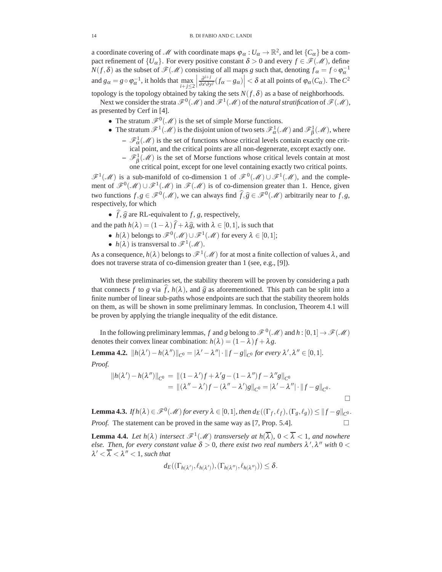a coordinate covering of *M* with coordinate maps  $\varphi_{\alpha}: U_{\alpha} \to \mathbb{R}^2$ , and let  $\{C_{\alpha}\}\$ be a compact refinement of  $\{U_{\alpha}\}\$ . For every positive constant  $\delta > 0$  and every  $f \in \mathcal{F}(\mathcal{M})$ , define *N*(*f*,  $\delta$ ) as the subset of  $\mathcal{F}(\mathcal{M})$  consisting of all maps *g* such that, denoting  $f_{\alpha} = f \circ \varphi_{\alpha}^{-1}$ and  $g_{\alpha} = g \circ \varphi_{\alpha}^{-1}$ , it holds that  $\max_{i+j \leq 2}$  ∂*i*+*j*  $\left| \frac{\partial^{i+j}}{\partial x^i \partial y^j} (f_\alpha - g_\alpha) \right| < \delta$  at all points of  $\varphi_\alpha(C_\alpha)$ . The  $C^2$ 

topology is the topology obtained by taking the sets  $N(f, \delta)$  as a base of neighborhoods.

Next we consider the strata  $\mathscr{F}^0(\mathscr{M})$  and  $\mathscr{F}^1(\mathscr{M})$  of the *natural stratification* of  $\mathscr{F}(\mathscr{M})$ , as presented by Cerf in [4].

- The stratum  $\mathscr{F}^0(\mathscr{M})$  is the set of simple Morse functions.
- The stratum  $\mathscr{F}^1(\mathscr{M})$  is the disjoint union of two sets  $\mathscr{F}^1_\alpha(\mathscr{M})$  and  $\mathscr{F}^1_\beta(\mathscr{M})$ , where
	- $-\mathscr{F}_{\alpha}^1(\mathscr{M})$  is the set of functions whose critical levels contain exactly one critical point, and the critical points are all non-degenerate, except exactly one.
	- $-\mathcal{F}_{\beta}^{1}(\mathcal{M})$  is the set of Morse functions whose critical levels contain at most one critical point, except for one level containing exactly two critical points.

*F*<sup>1</sup>(*M*) is a sub-manifold of co-dimension 1 of  $\mathcal{F}^0(\mathcal{M}) \cup \mathcal{F}^1(\mathcal{M})$ , and the complement of  $\mathscr{F}^0(\mathscr{M}) \cup \mathscr{F}^1(\mathscr{M})$  in  $\mathscr{F}(\mathscr{M})$  is of co-dimension greater than 1. Hence, given two functions  $f, g \in \mathcal{F}^0(\mathcal{M})$ , we can always find  $\widehat{f}, \widehat{g} \in \mathcal{F}^0(\mathcal{M})$  arbitrarily near to  $f, g$ , respectively, for which

•  $f$ ,  $\hat{g}$  are RL-equivalent to  $f$ ,  $g$ , respectively,

- and the path  $h(\lambda) = (1 \lambda)f + \lambda \hat{g}$ , with  $\lambda \in [0, 1]$ , is such that
	- $h(\lambda)$  belongs to  $\mathscr{F}^0(\mathscr{M}) \cup \mathscr{F}^1(\mathscr{M})$  for every  $\lambda \in [0,1]$ ;
	- $h(\lambda)$  is transversal to  $\mathscr{F}^1(\mathscr{M})$ .

As a consequence,  $h(\lambda)$  belongs to  $\mathscr{F}^1(\mathscr{M})$  for at most a finite collection of values  $\lambda$ , and does not traverse strata of co-dimension greater than 1 (see, e.g., [9]).

With these preliminaries set, the stability theorem will be proven by considering a path that connects *f* to *g* via *f*,  $h(\lambda)$ , and  $\hat{g}$  as aforementioned. This path can be split into a finite number of linear sub-paths whose endpoints are such that the stability theorem holds on them, as will be shown in some preliminary lemmas. In conclusion, Theorem 4.1 will be proven by applying the triangle inequality of the edit distance.

In the following preliminary lemmas, *f* and *g* belong to  $\mathscr{F}^0(\mathscr{M})$  and  $h:[0,1] \to \mathscr{F}(\mathscr{M})$ denotes their convex linear combination:  $h(\lambda) = (1 - \lambda)f + \lambda g$ .

**Lemma 4.2.** 
$$
||h(\lambda') - h(\lambda'')||_{C^0} = |\lambda' - \lambda''| \cdot ||f - g||_{C^0} \text{ for every } \lambda', \lambda'' \in [0, 1].
$$
  
\n*Proof.*  
\n $||h(\lambda') - h(\lambda'')||_{C^0} = ||(1 - \lambda')f + \lambda'g - (1 - \lambda'')f - \lambda''g||_{C^0}$   
\n $= ||(\lambda'' - \lambda')f - (\lambda'' - \lambda')g||_{C^0} = |\lambda' - \lambda''| \cdot ||f - g||_{C^0}.$ 

**Lemma 4.3.** *If*  $h(\lambda) \in \mathscr{F}^0(\mathscr{M})$  for every  $\lambda \in [0,1]$ , then  $d_E((\Gamma_f, \ell_f), (\Gamma_g, \ell_g)) \leq ||f - g||_{C^0}$ . *Proof.* The statement can be proved in the same way as [7, Prop. 5.4].

 $\Box$ 

**Lemma 4.4.** *Let*  $h(\lambda)$  *intersect*  $\mathcal{F}^1(\mathcal{M})$  *transversely at*  $h(\overline{\lambda})$ *,*  $0 < \overline{\lambda} < 1$ *, and nowhere else. Then, for every constant value*  $\delta > 0$ , there exist two real numbers  $\lambda', \lambda''$  with  $0 < \lambda$  $\lambda' < \overline{\lambda} < \lambda'' < 1$ , such that

$$
d_E((\Gamma_{h(\lambda')}, \ell_{h(\lambda')}), (\Gamma_{h(\lambda'')}, \ell_{h(\lambda'')})) \leq \delta.
$$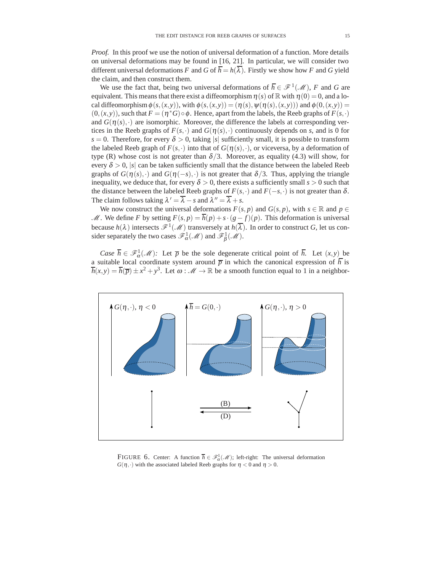*Proof.* In this proof we use the notion of universal deformation of a function. More details on universal deformations may be found in [16, 21]. In particular, we will consider two different universal deformations *F* and *G* of  $\overline{h} = h(\overline{\lambda})$ . Firstly we show how *F* and *G* yield the claim, and then construct them.

We use the fact that, being two universal deformations of  $\overline{h} \in \mathcal{F}^1(\mathcal{M})$ , *F* and *G* are equivalent. This means that there exist a diffeomorphism  $\eta(s)$  of R with  $\eta(0) = 0$ , and a local diffeomorphism  $\phi(s,(x,y))$ , with  $\phi(s,(x,y)) = (\eta(s), \psi(\eta(s),(x,y)))$  and  $\phi(0,(x,y)) =$  $(0,(x,y))$ , such that  $F = (\eta^*G) \circ \phi$ . Hence, apart from the labels, the Reeb graphs of  $F(s,\cdot)$ and  $G(\eta(s),\cdot)$  are isomorphic. Moreover, the difference the labels at corresponding vertices in the Reeb graphs of  $F(s, \cdot)$  and  $G(\eta(s), \cdot)$  continuously depends on *s*, and is 0 for  $s = 0$ . Therefore, for every  $\delta > 0$ , taking |s| sufficiently small, it is possible to transform the labeled Reeb graph of  $F(s, \cdot)$  into that of  $G(\eta(s), \cdot)$ , or viceversa, by a deformation of type (R) whose cost is not greater than  $\delta/3$ . Moreover, as equality (4.3) will show, for every  $\delta > 0$ , |s| can be taken sufficiently small that the distance between the labeled Reeb graphs of  $G(\eta(s),\cdot)$  and  $G(\eta(-s),\cdot)$  is not greater that  $\delta/3$ . Thus, applying the triangle inequality, we deduce that, for every  $\delta > 0$ , there exists a sufficiently small  $s > 0$  such that the distance between the labeled Reeb graphs of  $F(s, \cdot)$  and  $F(-s, \cdot)$  is not greater than  $\delta$ . The claim follows taking  $\lambda' = \overline{\lambda} - s$  and  $\lambda'' = \overline{\lambda} + s$ .

We now construct the universal deformations  $F(s, p)$  and  $G(s, p)$ , with  $s \in \mathbb{R}$  and  $p \in$ *M*. We define *F* by setting  $F(s, p) = \overline{h}(p) + s \cdot (g - f)(p)$ . This deformation is universal because  $h(\lambda)$  intersects  $\mathscr{F}^1(\mathscr{M})$  transversely at  $h(\overline{\lambda})$ . In order to construct *G*, let us consider separately the two cases  $\mathscr{F}_{\alpha}^{1}(\mathscr{M})$  and  $\mathscr{F}_{\beta}^{1}(\mathscr{M})$ .

*Case*  $\overline{h} \in \mathscr{F}_{\alpha}^{1}(\mathscr{M})$ *:* Let  $\overline{p}$  be the sole degenerate critical point of  $\overline{h}$ . Let  $(x, y)$  be a suitable local coordinate system around  $\bar{p}$  in which the canonical expression of  $\bar{h}$  is  $\overline{h}(x,y) = \overline{h}(\overline{p}) \pm x^2 + y^3$ . Let  $\omega : \mathcal{M} \to \mathbb{R}$  be a smooth function equal to 1 in a neighbor-



FIGURE 6. Center: A function  $\overline{h} \in \mathcal{F}^1_\alpha(\mathcal{M})$ ; left-right: The universal deformation  $G(\eta, \cdot)$  with the associated labeled Reeb graphs for  $\eta < 0$  and  $\eta > 0$ .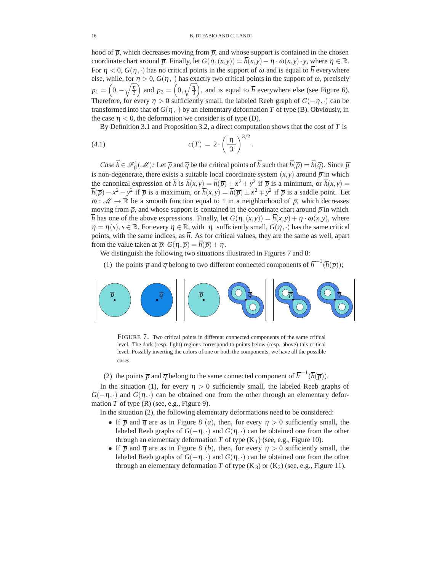hood of  $\bar{p}$ , which decreases moving from  $\bar{p}$ , and whose support is contained in the chosen coordinate chart around  $\overline{p}$ . Finally, let  $G(\eta,(x,y)) = \overline{h}(x,y) - \eta \cdot \omega(x,y) \cdot y$ , where  $\eta \in \mathbb{R}$ . For  $\eta < 0$ ,  $G(\eta, \cdot)$  has no critical points in the support of  $\omega$  and is equal to  $\overline{h}$  everywhere else, while, for  $\eta > 0$ ,  $G(\eta, \cdot)$  has exactly two critical points in the support of  $\omega$ , precisely  $p_1 = \left(0, -\sqrt{\frac{\eta}{3}}\right)$ 3 ) and  $p_2 = \left(0, \sqrt{\frac{\eta}{3}}\right)$ 3 ), and is equal to  $\overline{h}$  everywhere else (see Figure 6). Therefore, for every  $\eta > 0$  sufficiently small, the labeled Reeb graph of  $G(-\eta, \cdot)$  can be transformed into that of  $G(\eta, \cdot)$  by an elementary deformation *T* of type (B). Obviously, in the case  $\eta$  < 0, the deformation we consider is of type (D).

By Definition 3.1 and Proposition 3.2, a direct computation shows that the cost of *T* is

(4.1) 
$$
c(T) = 2 \cdot \left(\frac{|\eta|}{3}\right)^{3/2}.
$$

*Case*  $\overline{h} \in \mathcal{F}_{\beta}^{1}(\mathcal{M})$ : Let  $\overline{p}$  and  $\overline{q}$  be the critical points of  $\overline{h}$  such that  $\overline{h}(\overline{p}) = \overline{h}(\overline{q})$ . Since  $\overline{p}$ is non-degenerate, there exists a suitable local coordinate system  $(x, y)$  around  $\overline{p}$  in which the canonical expression of  $\overline{h}$  is  $\overline{h}(x,y) = \overline{h}(\overline{p}) + x^2 + y^2$  if  $\overline{p}$  is a minimum, or  $\overline{h}(x,y) =$  $\overline{h}(\overline{p}) - x^2 - y^2$  if  $\overline{p}$  is a maximum, or  $\overline{h}(x, y) = \overline{h}(\overline{p}) \pm x^2 \mp y^2$  if  $\overline{p}$  is a saddle point. Let  $\omega : \mathcal{M} \to \mathbb{R}$  be a smooth function equal to 1 in a neighborhood of  $\overline{p}$ , which decreases moving from  $\bar{p}$ , and whose support is contained in the coordinate chart around  $\bar{p}$  in which  $\overline{h}$  has one of the above expressions. Finally, let  $G(\eta,(x,y)) = \overline{h}(x,y) + \eta \cdot \omega(x,y)$ , where  $\eta = \eta(s)$ ,  $s \in \mathbb{R}$ . For every  $\eta \in \mathbb{R}$ , with  $|\eta|$  sufficiently small,  $G(\eta, \cdot)$  has the same critical points, with the same indices, as  $\bar{h}$ . As for critical values, they are the same as well, apart from the value taken at  $\overline{p}$ :  $G(\eta, \overline{p}) = \overline{h}(\overline{p}) + \eta$ .

We distinguish the following two situations illustrated in Figures 7 and 8:

(1) the points  $\overline{p}$  and  $\overline{q}$  belong to two different connected components of  $\overline{h}^{-1}(\overline{h}(\overline{p}))$ ;



FIGURE 7. Two critical points in different connected components of the same critical level. The dark (resp. light) regions correspond to points below (resp. above) this critical level. Possibly inverting the colors of one or both the components, we have all the possible cases.

(2) the points  $\overline{p}$  and  $\overline{q}$  belong to the same connected component of  $\overline{h}^{-1}(\overline{h}(\overline{p}))$ .

In the situation (1), for every  $\eta > 0$  sufficiently small, the labeled Reeb graphs of  $G(-\eta, \cdot)$  and  $G(\eta, \cdot)$  can be obtained one from the other through an elementary deformation  $T$  of type  $(R)$  (see, e.g., Figure 9).

In the situation (2), the following elementary deformations need to be considered:

- If  $\overline{p}$  and  $\overline{q}$  are as in Figure 8 (*a*), then, for every  $\eta > 0$  sufficiently small, the labeled Reeb graphs of  $G(-\eta, \cdot)$  and  $G(\eta, \cdot)$  can be obtained one from the other through an elementary deformation *T* of type  $(K_1)$  (see, e.g., Figure 10).
- If  $\overline{p}$  and  $\overline{q}$  are as in Figure 8 (*b*), then, for every  $\eta > 0$  sufficiently small, the labeled Reeb graphs of  $G(-\eta, \cdot)$  and  $G(\eta, \cdot)$  can be obtained one from the other through an elementary deformation *T* of type  $(K_3)$  or  $(K_2)$  (see, e.g., Figure 11).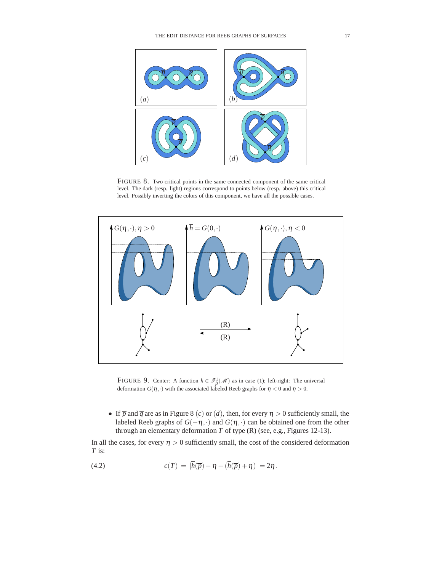

FIGURE 8. Two critical points in the same connected component of the same critical level. The dark (resp. light) regions correspond to points below (resp. above) this critical level. Possibly inverting the colors of this component, we have all the possible cases.



FIGURE 9. Center: A function  $\overline{h} \in \mathcal{F}^1_\beta(\mathcal{M})$  as in case (1); left-right: The universal deformation  $G(\eta, \cdot)$  with the associated labeled Reeb graphs for  $\eta < 0$  and  $\eta > 0$ .

• If  $\overline{p}$  and  $\overline{q}$  are as in Figure 8 (*c*) or (*d*), then, for every  $\eta > 0$  sufficiently small, the labeled Reeb graphs of  $G(-\eta, \cdot)$  and  $G(\eta, \cdot)$  can be obtained one from the other through an elementary deformation *T* of type (R) (see, e.g., Figures 12-13).

In all the cases, for every  $\eta > 0$  sufficiently small, the cost of the considered deformation *T* is:

(4.2) 
$$
c(T) = |\overline{h}(\overline{p}) - \eta - (\overline{h}(\overline{p}) + \eta)| = 2\eta.
$$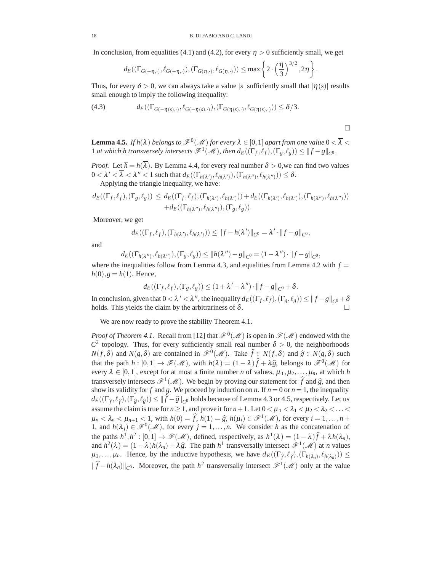In conclusion, from equalities (4.1) and (4.2), for every  $\eta > 0$  sufficiently small, we get

$$
d_E((\Gamma_{G(-\eta,\cdot)},\ell_{G(-\eta,\cdot)}),(\Gamma_{G(\eta,\cdot)},\ell_{G(\eta,\cdot)})) \leq \max\left\{2\cdot\left(\frac{\eta}{3}\right)^{3/2},2\eta\right\}
$$

Thus, for every  $\delta > 0$ , we can always take a value |s| sufficiently small that  $|\eta(s)|$  results small enough to imply the following inequality:

(4.3) 
$$
d_E((\Gamma_{G(-\eta(s),\cdot)},\ell_{G(-\eta(s),\cdot)}),(\Gamma_{G(\eta(s),\cdot)},\ell_{G(\eta(s),\cdot)}))\leq \delta/3.
$$

 $\Box$ 

.

**Lemma 4.5.** *If h*( $\lambda$ ) *belongs to*  $\mathscr{F}^0(\mathscr{M})$  *for every*  $\lambda \in [0,1]$  *apart from one value*  $0 < \overline{\lambda} <$ 1 *at which h transversely intersects*  $\mathscr{F}^1(\mathscr{M})$ , then  $d_E((\Gamma_f, \ell_f), (\Gamma_g, \ell_g)) \leq ||f - g||_{C^0}$ .

*Proof.* Let  $\overline{h} = h(\overline{\lambda})$ . By Lemma 4.4, for every real number  $\delta > 0$ , we can find two values  $0 < \lambda' < \overline{\lambda} < \lambda'' < 1$  such that  $d_E((\Gamma_{h(\lambda')}, \ell_{h(\lambda')}), (\Gamma_{h(\lambda'')}, \ell_{h(\lambda'')})) \leq \delta$ .

Applying the triangle inequality, we have:

$$
d_E((\Gamma_f, \ell_f), (\Gamma_g, \ell_g)) \leq d_E((\Gamma_f, \ell_f), (\Gamma_{h(\lambda')}, \ell_{h(\lambda')})) + d_E((\Gamma_{h(\lambda')}, \ell_{h(\lambda')}), (\Gamma_{h(\lambda'')}, \ell_{h(\lambda'')})) + d_E((\Gamma_{h(\lambda'')}, \ell_{h(\lambda'')}), (\Gamma_g, \ell_g)).
$$

Moreover, we get

$$
d_E((\Gamma_f,\ell_f),(\Gamma_{h(\lambda')},\ell_{h(\lambda')}))\leq ||f-h(\lambda')||_{C^0}=\lambda'\cdot||f-g||_{C^0},
$$

and

$$
d_E((\Gamma_{h(\lambda'')},\ell_{h(\lambda'')}),(\Gamma_g,\ell_g))\leq ||h(\lambda'')-g||_{C^0}=(1-\lambda'')\cdot||f-g||_{C^0},
$$

where the inequalities follow from Lemma 4.3, and equalities from Lemma 4.2 with  $f =$  $h(0), g = h(1)$ . Hence,

$$
d_E((\Gamma_f, \ell_f), (\Gamma_g, \ell_g)) \leq (1 + \lambda' - \lambda'') \cdot ||f - g||_{C^0} + \delta.
$$

In conclusion, given that  $0 < \lambda' < \lambda''$ , the inequality  $d_E((\Gamma_f, \ell_f), (\Gamma_g, \ell_g)) \leq ||f - g||_{C^0} + \delta$ holds. This yields the claim by the arbitrariness of  $\delta$ .

We are now ready to prove the stability Theorem 4.1.

*Proof of Theorem 4.1.* Recall from [12] that  $\mathcal{F}^0(\mathcal{M})$  is open in  $\mathcal{F}(\mathcal{M})$  endowed with the  $C^2$  topology. Thus, for every sufficiently small real number  $\delta > 0$ , the neighborhoods  $N(f, \delta)$  and  $N(g, \delta)$  are contained in  $\mathscr{F}^0(\mathscr{M})$ . Take  $\hat{f} \in N(f, \delta)$  and  $\hat{g} \in N(g, \delta)$  such that the path  $h : [0,1] \to \mathcal{F}(\mathcal{M})$ , with  $h(\lambda) = (1 - \lambda)\hat{f} + \lambda\hat{g}$ , belongs to  $\mathcal{F}^0(\mathcal{M})$  for every  $\lambda \in [0,1]$ , except for at most a finite number *n* of values,  $\mu_1, \mu_2, \dots, \mu_n$ , at which *h* transversely intersects  $\mathcal{F}^1(\mathcal{M})$ . We begin by proving our statement for  $\hat{f}$  and  $\hat{g}$ , and then show its validity for *f* and *g*. We proceed by induction on *n*. If  $n = 0$  or  $n = 1$ , the inequality  $d_E((\Gamma_{\widehat{f}},\ell_{\widehat{f}}),(\Gamma_{\widehat{g}},\ell_{\widehat{g}})) \leq ||f-\widehat{g}||_{C^0}$  holds because of Lemma 4.3 or 4.5, respectively. Let us assume the claim is true for  $n \ge 1$ , and prove it for  $n+1$ . Let  $0 < \mu_1 < \lambda_1 < \mu_2 < \lambda_2 < \ldots <$  $\mu_n < \lambda_n < \mu_{n+1} < 1$ , with  $h(0) = \hat{f}$ ,  $h(1) = \hat{g}$ ,  $h(\mu_i) \in \mathcal{F}^1(\mathcal{M})$ , for every  $i = 1, \ldots, n+1$ 1, and  $h(\lambda_i) \in \mathcal{F}^0(\mathcal{M})$ , for every  $j = 1, ..., n$ . We consider *h* as the concatenation of the paths  $h^1,h^2:[0,1]\to \mathscr{F}(\mathscr{M})$ , defined, respectively, as  $h^1(\lambda)=(1-\lambda)\widehat{f}+\lambda h(\lambda_n)$ , and  $h^2(\lambda) = (1 - \lambda)h(\lambda_n) + \lambda \hat{g}$ . The path  $h^1$  transversally intersect  $\mathscr{F}^1(\mathscr{M})$  at *n* values  $\mu_1, \ldots, \mu_n$ . Hence, by the inductive hypothesis, we have  $d_E((\Gamma_{\hat{f}}, \ell_{\hat{f}}), (\Gamma_{h(\lambda_n)}, \ell_{h(\lambda_n)})) \leq$  $||\hat{f} - h(\lambda_n)||_{C^0}$ . Moreover, the path  $h^2$  transversally intersect  $\mathcal{F}^1(\mathcal{M})$  only at the value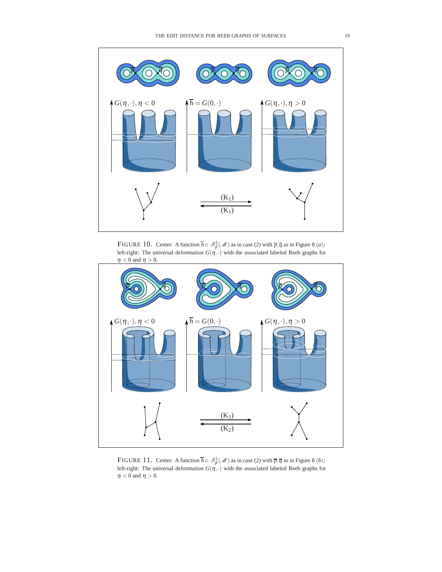

FIGURE 10. Center: A function  $\overline{h} \in \mathcal{F}_{\beta}^1(\mathcal{M})$  as in case (2) with  $\overline{p}, \overline{q}$  as in Figure 8 (*a*); left-right: The universal deformation  $G(\eta, \cdot)$  with the associated labeled Reeb graphs for  $\eta < 0$  and  $\eta > 0$ .



FIGURE 11. Center: A function  $\overline{h} \in \mathcal{F}_{\beta}^1(\mathcal{M})$  as in case (2) with  $\overline{p}, \overline{q}$  as in Figure 8 (*b*); left-right: The universal deformation  $G(\eta, \cdot)$  with the associated labeled Reeb graphs for  $\eta < 0$  and  $\eta > 0.$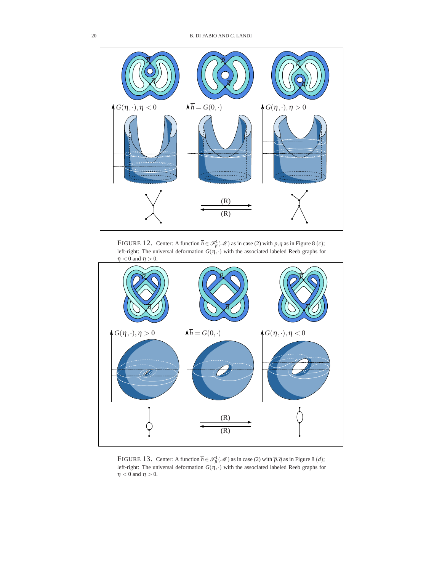

FIGURE 12. Center: A function  $\overline{h} \in \mathcal{F}_{\beta}^1(\mathcal{M})$  as in case (2) with  $\overline{p}, \overline{q}$  as in Figure 8 (*c*); left-right: The universal deformation  $G(\eta, \cdot)$  with the associated labeled Reeb graphs for  $\eta < 0$  and  $\eta > 0$ .



FIGURE 13. Center: A function  $\overline{h} \in \mathcal{F}_{\beta}^1(\mathcal{M})$  as in case (2) with  $\overline{p}, \overline{q}$  as in Figure 8 (*d*); left-right: The universal deformation  $G(\eta, \cdot)$  with the associated labeled Reeb graphs for  $\eta < 0$  and  $\eta > 0$ .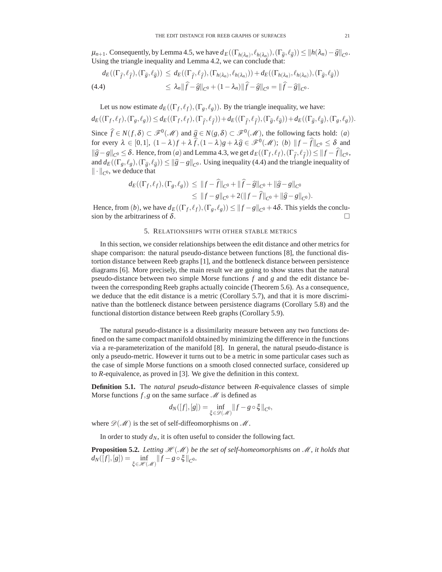$\mu_{n+1}$ . Consequently, by Lemma 4.5, we have  $d_E((\Gamma_{h(\lambda_n)}, \ell_{h(\lambda_n)}), (\Gamma_{\widehat{g}}, \ell_{\widehat{g}})) \leq ||h(\lambda_n) - \widehat{g}||_{C^0}$ . Using the triangle inequality and Lemma 4.2, we can conclude that:

$$
d_E((\Gamma_{\widehat{f}},\ell_{\widehat{f}}),(\Gamma_{\widehat{g}},\ell_{\widehat{g}})) \leq d_E((\Gamma_{\widehat{f}},\ell_{\widehat{f}}),(\Gamma_{h(\lambda_n)},\ell_{h(\lambda_n)})) + d_E((\Gamma_{h(\lambda_n)},\ell_{h(\lambda_n)}),(\Gamma_{\widehat{g}},\ell_{\widehat{g}}))
$$
  
(4.4) 
$$
\leq \lambda_n \|\widehat{f} - \widehat{g}\|_{C^0} + (1 - \lambda_n) \|\widehat{f} - \widehat{g}\|_{C^0} = \|\widehat{f} - \widehat{g}\|_{C^0}.
$$

Let us now estimate  $d_E((\Gamma_f, \ell_f), (\Gamma_g, \ell_g))$ . By the triangle inequality, we have:  $d_E((\Gamma_f, \ell_f), (\Gamma_g, \ell_g)) \leq d_E((\Gamma_f, \ell_f), (\Gamma_{\widehat{f}}, \ell_{\widehat{f}})) + d_E((\Gamma_{\widehat{f}}, \ell_{\widehat{f}}), (\Gamma_{\widehat{g}}, \ell_{\widehat{g}})) + d_E((\Gamma_{\widehat{g}}, \ell_{\widehat{g}}), (\Gamma_g, \ell_g)).$ Since  $\hat{f}$  ∈  $N(f, \delta)$  ⊂  $\mathcal{F}^0(\mathcal{M})$  and  $\hat{g}$  ∈  $N(g, \delta)$  ⊂  $\mathcal{F}^0(\mathcal{M})$ , the following facts hold: (*a*) for every  $\lambda \in [0,1]$ ,  $(1-\lambda)f + \lambda \widehat{f}$ ,  $(1-\lambda)g + \lambda \widehat{g} \in \mathscr{F}^0(\mathscr{M})$ ;  $(b)$   $||f - \widehat{f}||_{C^0} \le \delta$  and  $\|\hat{g} - g\|_{C^0} \leq \delta$ . Hence, from (*a*) and Lemma 4.3, we get  $d_E((\Gamma_f, \ell_f), (\Gamma_{\hat{f}}, \ell_{\hat{f}})) \leq ||f - f||_{C^0}$ , and  $d_E((\Gamma_g, \ell_g), (\Gamma_{\widehat{g}}, \ell_{\widehat{g}})) \le ||\widehat{g} - g||_{C^0}$ . Using inequality (4.4) and the triangle inequality of  $\|\cdot\|_{C^0}$ , we deduce that

$$
d_E((\Gamma_f, \ell_f), (\Gamma_g, \ell_g)) \leq ||f - \hat{f}||_{C^0} + ||\hat{f} - \hat{g}||_{C^0} + ||\hat{g} - g||_{C^0}
$$
  

$$
\leq ||f - g||_{C^0} + 2(||f - \hat{f}||_{C^0} + ||\hat{g} - g||_{C^0}).
$$

Hence, from  $(b)$ , we have  $d_E((\Gamma_f, \ell_f), (\Gamma_g, \ell_g)) \le ||f - g||_{C^0} + 4\delta$ . This yields the conclusion by the arbitrariness of  $\delta$ .  $\Box$ 

# 5. RELATIONSHIPS WITH OTHER STABLE METRICS

In this section, we consider relationships between the edit distance and other metrics for shape comparison: the natural pseudo-distance between functions [8], the functional distortion distance between Reeb graphs [1], and the bottleneck distance between persistence diagrams [6]. More precisely, the main result we are going to show states that the natural pseudo-distance between two simple Morse functions *f* and *g* and the edit distance between the corresponding Reeb graphs actually coincide (Theorem 5.6). As a consequence, we deduce that the edit distance is a metric (Corollary 5.7), and that it is more discriminative than the bottleneck distance between persistence diagrams (Corollary 5.8) and the functional distortion distance between Reeb graphs (Corollary 5.9).

The natural pseudo-distance is a dissimilarity measure between any two functions defined on the same compact manifold obtained by minimizing the difference in the functions via a re-parameterization of the manifold [8]. In general, the natural pseudo-distance is only a pseudo-metric. However it turns out to be a metric in some particular cases such as the case of simple Morse functions on a smooth closed connected surface, considered up to *R*-equivalence, as proved in [3]. We give the definition in this context.

**Definition 5.1.** The *natural pseudo-distance* between *R*-equivalence classes of simple Morse functions  $f$ ,  $g$  on the same surface  $\mathcal M$  is defined as

$$
d_N([f],[g]) = \inf_{\xi \in \mathscr{D}(\mathscr{M})} ||f - g \circ \xi||_{C^0},
$$

where  $\mathscr{D}(\mathscr{M})$  is the set of self-diffeomorphisms on  $\mathscr{M}$ .

In order to study  $d_N$ , it is often useful to consider the following fact.

**Proposition 5.2.** Letting  $H(M)$  be the set of self-homeomorphisms on  $M$ , it holds that  $d_N([f],[g]) = \inf_{\xi \in \mathscr{H}(\mathscr{M})} ||f - g \circ \xi||_{C^0}.$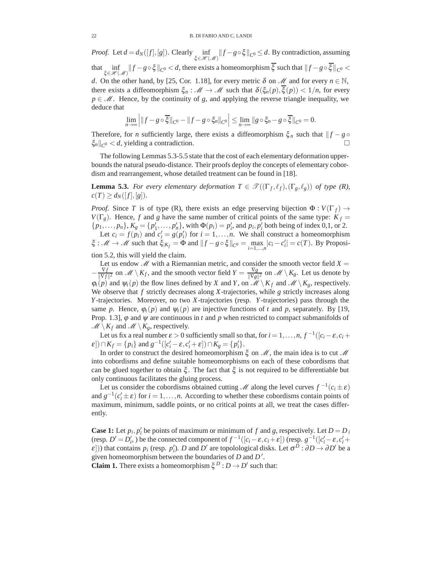*Proof.* Let  $d = d_N([f],[g])$ . Clearly  $\inf_{\xi \in \mathcal{H}(\mathcal{M})} ||f - g \circ \xi||_{C^0} \le d$ . By contradiction, assuming that  $\inf_{\xi \in \mathcal{H}(\mathcal{M})} ||f - g \circ \xi||_{C^0} < d$ , there exists a homeomorphism  $\xi$  such that  $||f - g \circ \xi||_{C^0} <$ *d*. On the other hand, by [25, Cor. 1.18], for every metric  $\delta$  on  $\mathcal{M}$  and for every  $n \in \mathbb{N}$ , there exists a diffeomorphism  $\xi_n$ :  $\mathcal{M} \to \mathcal{M}$  such that  $\delta(\xi_n(p), \xi(p)) < 1/n$ , for every  $p \in M$ . Hence, by the continuity of *g*, and applying the reverse triangle inequality, we deduce that

$$
\lim_{n\to\infty}\Big|\|f-g\circ\overline{\xi}\|_{C^0}-\|f-g\circ\xi_n\|_{C^0}\Big|\leq \lim_{n\to\infty}\|g\circ\xi_n-g\circ\overline{\xi}\|_{C^0}=0.
$$

Therefore, for *n* sufficiently large, there exists a diffeomorphism  $\xi_n$  such that  $\|f - g\|$  $\|\xi_n\|_{C^0} < d$ , yielding a contradiction.

The following Lemmas 5.3-5.5 state that the cost of each elementary deformation upperbounds the natural pseudo-distance. Their proofs deploy the concepts of elementary cobordism and rearrangement, whose detailed treatment can be found in [18].

**Lemma 5.3.** *For every elementary deformation*  $T \in \mathcal{T}((\Gamma_f, \ell_f), (\Gamma_g, \ell_g))$  *of type* (*R*),  $c(T) \geq d_N([f],[g]).$ 

*Proof.* Since *T* is of type (R), there exists an edge preserving bijection  $\Phi: V(\Gamma_f) \to$  $V(\Gamma_g)$ . Hence, *f* and *g* have the same number of critical points of the same type:  $K_f =$  $\{p_1, \ldots, p_n\}, K_g = \{p'_1, \ldots, p'_n\}, \text{with } \Phi(p_i) = p'_i \text{, and } p_i, p'_i \text{ both being of index } 0, 1, \text{ or } 2.$ Let  $c_i = f(p_i)$  and  $c'_i = g(p'_i)$  for  $i = 1, ..., n$ . We shall construct a homeomorphism  $\xi : \mathcal{M} \to \mathcal{M}$  such that  $\xi_{|K_f} = \Phi$  and  $||f - g \circ \xi||_{C^0} = \max_{i=1,\dots,n} |c_i - c'_i| = c(T)$ . By Proposi-

tion 5.2, this will yield the claim.

Let us endow  $\mathcal M$  with a Riemannian metric, and consider the smooth vector field  $X =$  $-\frac{\nabla f}{\|\nabla f\|^2}$  on  $\mathcal{M}\setminus K_f$ , and the smooth vector field  $Y = \frac{\nabla g}{\|\nabla g\|^2}$  on  $\mathcal{M}\setminus K_g$ . Let us denote by  $\varphi_t(p)$  and  $\psi_t(p)$  the flow lines defined by *X* and *Y*, on  $\mathcal{M} \setminus K_f$  and  $\mathcal{M} \setminus K_g$ , respectively. We observe that *f* strictly decreases along *X*-trajectories, while *g* strictly increases along *Y*-trajectories. Moreover, no two *X*-trajectories (resp. *Y*-trajectories) pass through the same *p*. Hence,  $\varphi_t(p)$  and  $\psi_t(p)$  are injective functions of *t* and *p*, separately. By [19, Prop. 1.3],  $\varphi$  and  $\psi$  are continuous in *t* and *p* when restricted to compact submanifolds of  $\mathcal{M} \setminus K_f$  and  $\mathcal{M} \setminus K_g$ , respectively.

Let us fix a real number  $\varepsilon > 0$  sufficiently small so that, for  $i = 1, \ldots, n, f^{-1}([c_i - \varepsilon, c_i +$  $\mathcal{E}$ ))  $\cap K_f = \{p_i\}$  and  $g^{-1}([c'_i - \varepsilon, c'_i + \varepsilon]) \cap K_g = \{p'_i\}.$ 

In order to construct the desired homeomorphism ξ on *M*, the main idea is to cut *M* into cobordisms and define suitable homeomorphisms on each of these cobordisms that can be glued together to obtain ξ . The fact that ξ is not required to be differentiable but only continuous facilitates the gluing process.

Let us consider the cobordisms obtained cutting *M* along the level curves  $f^{-1}(c_i \pm \varepsilon)$ and  $g^{-1}(c_i' \pm \varepsilon)$  for  $i = 1, ..., n$ . According to whether these cobordisms contain points of maximum, minimum, saddle points, or no critical points at all, we treat the cases differently.

**Case 1:** Let  $p_i$ ,  $p'_i$  be points of maximum or minimum of  $f$  and  $g$ , respectively. Let  $D = D_i$  $(\text{resp. } D' = D'_i)$  be the connected component of  $f^{-1}([c_i - \varepsilon, c_i + \varepsilon])$  (resp.  $g^{-1}([c'_i - \varepsilon, c'_i + \varepsilon])$ )  $\mathcal{E}$ [)) that contains  $p_i$  (resp.  $p'_i$ ). *D* and *D'* are topolological disks. Let  $\sigma^D : \partial D \to \partial D'$  be a given homeomorphism between the boundaries of *D* and *D* .

**Claim 1.** There exists a homeomorphism  $\xi^{D}: D \to D'$  such that: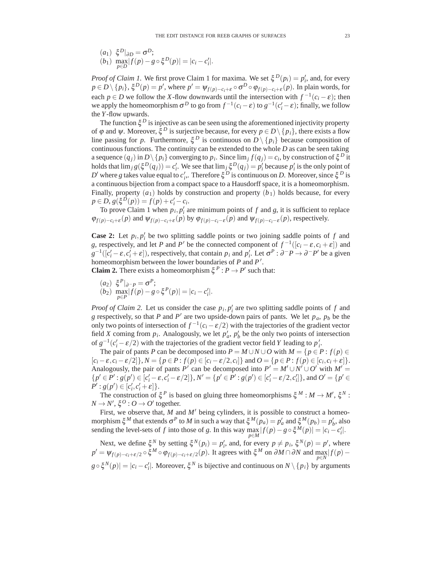$$
\begin{array}{ll} (a_1) & \xi^D|_{\partial D} = \sigma^D; \\ (b_1) & \max_{p \in D} |f(p) - g \circ \xi^D(p)| = |c_i - c'_i|. \end{array}
$$

*Proof of Claim 1.* We first prove Claim 1 for maxima. We set  $\xi^{D}(p_{i}) = p'_{i}$ , and, for every  $p \in D \setminus \{p_i\}, \xi^D(p) = p'$ , where  $p' = \psi_{f(p) - c_i + \varepsilon} \circ \sigma^D \circ \phi_{f(p) - c_i + \varepsilon}(p)$ . In plain words, for each *p* ∈ *D* we follow the *X*-flow downwards until the intersection with  $f^{-1}(c_i - \varepsilon)$ ; then we apply the homeomorphism  $\sigma^D$  to go from  $f^{-1}(c_i - \varepsilon)$  to  $g^{-1}(c'_i - \varepsilon)$ ; finally, we follow the *Y*-flow upwards.

The function  $\xi^D$  is injective as can be seen using the aforementioned injectivity property of  $\varphi$  and  $\psi$ . Moreover,  $\xi^D$  is surjective because, for every  $p \in D \setminus \{p_i\}$ , there exists a flow line passing for *p*. Furthermore,  $\xi^D$  is continuous on  $D \setminus \{p_i\}$  because composition of continuous functions. The continuity can be extended to the whole *D* as can be seen taking a sequence  $(q_i)$  in  $D \setminus \{p_i\}$  converging to  $p_i$ . Since  $\lim_j f(q_j) = c_i$ , by construction of  $\xi^D$  it holds that  $\lim_{j} g(\xi^{D}(q_j)) = c'_i$ . We see that  $\lim_{j} \xi^{D}(q_j) = p'_i$  because  $p'_i$  is the only point of *D*<sup> $\prime$ </sup> where *g* takes value equal to *c*<sup> $\prime$ </sup><sub>*i*</sub>. Therefore ξ<sup>*D*</sup> is continuous on *D*. Moreover, since ξ<sup>*D*</sup> is a continuous bijection from a compact space to a Hausdorff space, it is a homeomorphism. Finally, property  $(a_1)$  holds by construction and property  $(b_1)$  holds because, for every  $p \in D$ ,  $g(\xi^D(p)) = f(p) + c'_i - c_i$ .

To prove Claim 1 when  $p_i$ ,  $p'_i$  are minimum points of  $f$  and  $g$ , it is sufficient to replace  $\varphi_{f(p)-c_i+\varepsilon}(p)$  and  $\psi_{f(p)-c_i+\varepsilon}(p)$  by  $\varphi_{f(p)-c_i-\varepsilon}(p)$  and  $\psi_{f(p)-c_i-\varepsilon}(p)$ , respectively.

**Case 2:** Let  $p_i$ ,  $p'_i$  be two splitting saddle points or two joining saddle points of  $f$  and *g*, respectively, and let *P* and *P'* be the connected component of  $f^{-1}([c_i - \varepsilon, c_i + \varepsilon])$  and  $g^{-1}([c_i'-\varepsilon,c_i'+\varepsilon])$ , respectively, that contain *p<sub>i</sub>* and *p*<sub>*i*</sub>. Let  $\sigma^P : \partial^- P \to \partial^- P'$  be a given homeomorphism between the lower boundaries of *P* and *P* .

**Claim 2.** There exists a homeomorphism  $\xi^P : P \to P'$  such that:

$$
\begin{array}{ll} (a_2) & \xi^P|_{\partial - P} = \sigma^P; \\ (b_2) & \max_{p \in P} |f(p) - g \circ \xi^P(p)| = |c_i - c'_i|. \end{array}
$$

*Proof of Claim 2.* Let us consider the case  $p_i$ ,  $p'_i$  are two splitting saddle points of f and *g* respectively, so that *P* and *P'* are two upside-down pairs of pants. We let  $p_a$ ,  $p_b$  be the only two points of intersection of  $f^{-1}(c_i - \varepsilon/2)$  with the trajectories of the gradient vector field *X* coming from  $p_i$ . Analogously, we let  $p'_a$ ,  $p'_b$  be the only two points of intersection of  $g^{-1}(c_i' - \varepsilon/2)$  with the trajectories of the gradient vector field *Y* leading to  $p_i'$ .

The pair of pants *P* can be decomposed into  $P = M \cup N \cup O$  with  $M = \{p \in P : f(p) \in$  $[c_i - \varepsilon, c_i - \varepsilon/2]$ ,  $N = \{p \in P : f(p) \in [c_i - \varepsilon/2, c_i]\}$  and  $O = \{p \in P : f(p) \in [c_i, c_i + \varepsilon]\}.$ Analogously, the pair of pants *P'* can be decomposed into  $P' = M' \cup N' \cup O'$  with  $M' =$  ${p' \in P' : g(p') \in [c'_i - \varepsilon, c'_i - \varepsilon/2]}, N' = {p' \in P' : g(p') \in [c'_i - \varepsilon/2, c'_i]}$ , and  $O' = {p' \in P'}$  $P' : g(p') \in [c'_i, c'_i + \varepsilon]$ .

The construction of  $\xi^P$  is based on gluing three homeomorphisms  $\xi^M : M \to M'$ ,  $\xi^N$ :  $N \rightarrow N', \xi^O : O \rightarrow O'$  together.

First, we observe that, *M* and *M'* being cylinders, it is possible to construct a homeomorphism  $\xi^M$  that extends  $\sigma^P$  to *M* in such a way that  $\xi^M(p_a) = p'_a$  and  $\xi^M(p_b) = p'_b$ , also sending the level-sets of *f* into those of *g*. In this way  $\max_{p \in M} |f(p) - g \circ \xi^M(p)| = |c_i - c'_i|$ .

Next, we define  $\xi^N$  by setting  $\xi^N(p_i) = p'_i$ , and, for every  $p \neq p_i$ ,  $\xi^N(p) = p'$ , where  $p' = \psi_{f(p)-c_i+\varepsilon/2} \circ \xi^M \circ \phi_{f(p)-c_i+\varepsilon/2}(p)$ . It agrees with  $\xi^M$  on  $\partial M \cap \partial N$  and  $\max_{p \in N} |f(p)-p|$ 

 $g \circ \xi^N(p) = |c_i - c'_i|$ . Moreover,  $\xi^N$  is bijective and continuous on  $N \setminus \{p_i\}$  by arguments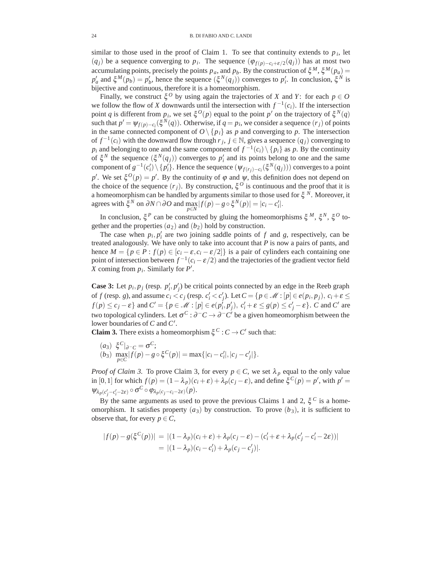similar to those used in the proof of Claim 1. To see that continuity extends to  $p_i$ , let  $(q_j)$  be a sequence converging to  $p_i$ . The sequence  $(\varphi_{f(p)-c_i+\varepsilon/2}(q_j))$  has at most two accumulating points, precisely the points  $p_a$ , and  $p_b$ . By the construction of  $\xi^M$ ,  $\xi^M(p_a)$  = *p*<sup>'</sup><sub>*a*</sub> and ξ<sup>*M*</sup>(*p<sub>b</sub>*) = *p*<sup>'</sup><sub>*b*</sub>, hence the sequence (ξ<sup>*N*</sup>(*q<sub>j</sub>*)) converges to *p*<sup>'</sup><sub>*i*</sub>. In conclusion, ξ<sup>*N*</sup> is bijective and continuous, therefore it is a homeomorphism.

Finally, we construct  $\xi^0$  by using again the trajectories of *X* and *Y*: for each  $p \in O$ we follow the flow of *X* downwards until the intersection with  $f^{-1}(c_i)$ . If the intersection point *q* is different from  $p_i$ , we set  $\xi^O(p)$  equal to the point  $p'$  on the trajectory of  $\xi^N(q)$ such that  $p' = \psi_{f(p) - c_i}(\xi^N(q))$ . Otherwise, if  $q = p_i$ , we consider a sequence  $(r_j)$  of points in the same connected component of  $O \setminus \{p_i\}$  as  $p$  and converging to  $p$ . The intersection of  $f^{-1}(c_i)$  with the downward flow through  $r_j$ ,  $j \in \mathbb{N}$ , gives a sequence  $(q_j)$  converging to *p<sub>i</sub>* and belonging to one and the same component of  $f^{-1}(c_i) \setminus \{p_i\}$  as *p*. By the continuity of  $\xi^N$  the sequence  $(\xi^N(q_j))$  converges to  $p'_i$  and its points belong to one and the same component of  $g^{-1}(c_i') \setminus \{p_i'\}$ . Hence the sequence  $(\psi_{f(r_j)-c_i}(\xi^N(q_j)))$  converges to a point *p*<sup>'</sup>. We set  $\xi^{O}(p) = p'$ . By the continuity of  $\varphi$  and  $\psi$ , this definition does not depend on the choice of the sequence  $(r_i)$ . By construction,  $\xi^0$  is continuous and the proof that it is a homeomorphism can be handled by arguments similar to those used for ξ *<sup>N</sup>*. Moreover, it agrees with  $\xi^N$  on  $\partial N \cap \partial O$  and  $\max_{p \in N} |f(p) - g \circ \xi^N(p)| = |c_i - c'_i|.$ 

In conclusion, ξ*<sup>P</sup>* can be constructed by gluing the homeomorphisms ξ *<sup>M</sup>*, ξ*N*, ξ*<sup>O</sup>* together and the properties  $(a_2)$  and  $(b_2)$  hold by construction.

The case when  $p_i$ ,  $p'_i$  are two joining saddle points of  $f$  and  $g$ , respectively, can be treated analogously. We have only to take into account that *P* is now a pairs of pants, and hence  $M = \{p \in P : f(p) \in [c_i - \varepsilon, c_i - \varepsilon/2]\}$  is a pair of cylinders each containing one point of intersection between  $f^{-1}(c_i - \varepsilon/2)$  and the trajectories of the gradient vector field *X* coming from *pi*. Similarly for *P* .

**Case 3:** Let  $p_i$ ,  $p_j$  (resp.  $p'_i$ ,  $p'_j$ ) be critical points connected by an edge in the Reeb graph of *f* (resp. *g*), and assume  $c_i < c_j$  (resp.  $c'_i < c'_j$ ). Let  $C = \{p \in \mathcal{M} : [p] \in e(p_i, p_j), c_i + \varepsilon \leq \varepsilon \}$  $f(p) \le c_j - \varepsilon$  and  $C' = \{p \in \mathcal{M} : [p] \in e(p_i^j, p_j'), c_i' + \varepsilon \le g(p) \le c_j' - \varepsilon\}$ . C and C' are two topological cylinders. Let  $\sigma^C : \partial^-C \to \partial^-C'$  be a given homeomorphism between the lower boundaries of *C* and *C* .

**Claim 3.** There exists a homeomorphism  $\xi^C : C \to C'$  such that:

 $(a_3) \xi^C|_{\partial C} = \sigma^C;$  $(b_3)$   $\max_{p \in C} |f(p) - g \circ \xi^C(p)| = \max\{|c_i - c'_i|, |c_j - c'_j|\}.$ 

*Proof of Claim 3.* To prove Claim 3, for every  $p \in C$ , we set  $\lambda_p$  equal to the only value in [0,1] for which  $f(p) = (1 - \lambda_p)(c_i + \varepsilon) + \lambda_p(c_j - \varepsilon)$ , and define  $\xi^C(p) = p'$ , with  $p' =$  $\Psi_{\lambda_p(c'_j-c'_i-2\varepsilon)} \circ \sigma^C \circ \varphi_{\lambda_p(c_j-c_i-2\varepsilon)}(p).$ 

By the same arguments as used to prove the previous Claims 1 and 2,  $\xi^C$  is a homeomorphism. It satisfies property  $(a_3)$  by construction. To prove  $(b_3)$ , it is sufficient to observe that, for every  $p \in C$ ,

$$
|f(p) - g(\xi^C(p))| = |(1 - \lambda_p)(c_i + \varepsilon) + \lambda_p(c_j - \varepsilon) - (c'_i + \varepsilon + \lambda_p(c'_j - c'_i - 2\varepsilon))|
$$
  
= |(1 - \lambda\_p)(c\_i - c'\_i) + \lambda\_p(c\_j - c'\_j)|.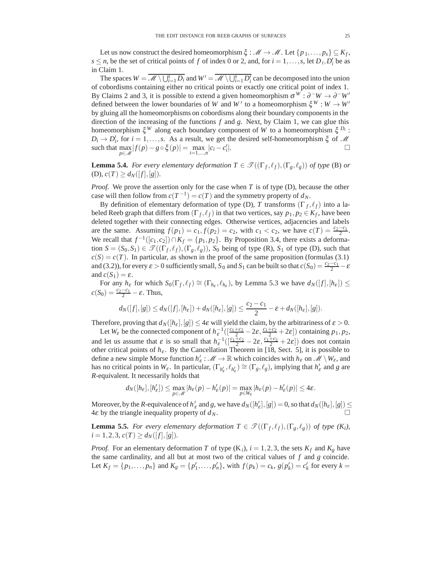Let us now construct the desired homeomorphism  $\xi : \mathcal{M} \to \mathcal{M}$ . Let  $\{p_1, \ldots, p_s\} \subseteq K_f$ , *s*  $\leq$  *n*, be the set of critical points of *f* of index 0 or 2, and, for *i* = 1,...,*s*, let *D i*, *D'*<sub>*i*</sub> be as in Claim 1.

The spaces  $W = \overline{\mathcal{M} \setminus \bigcup_{i=1}^s D_i}$  and  $W' = \overline{\mathcal{M} \setminus \bigcup_{i=1}^s D_i'}$  can be decomposed into the union of cobordisms containing either no critical points or exactly one critical point of index 1. By Claims 2 and 3, it is possible to extend a given homeomorphism  $\sigma^{W}$ :  $\partial^-W \to \partial^-W'$ defined between the lower boundaries of *W* and *W'* to a homeomorphism  $\xi^{W}$ :  $W \to W'$ by gluing all the homeomorphisms on cobordisms along their boundary components in the direction of the increasing of the functions *f* and *g*. Next, by Claim 1, we can glue this homeomorphism ξ*<sup>W</sup>* along each boundary component of *W* to a homeomorphism ξ *Di* :  $D_i \rightarrow D'_i$ , for  $i = 1, \ldots, s$ . As a result, we get the desired self-homeomorphism  $\xi$  of *M* such that  $\max_{p \in \mathcal{M}} |f(p) - g \circ \xi(p)| = \max_{i=1,\dots,n} |c_i - c'_i|$  $\Box$ 

**Lemma 5.4.** *For every elementary deformation*  $T \in \mathcal{T}((\Gamma_f, \ell_f), (\Gamma_g, \ell_g))$  *of type* (B) *or*  $(C)$ *),*  $c(T) \geq d_N([f],[g]).$ 

*Proof.* We prove the assertion only for the case when *T* is of type (D), because the other case will then follow from  $c(T^{-1}) = c(T)$  and the symmetry property of  $d_N$ .

By definition of elementary deformation of type (D), *T* transforms  $(\Gamma_f, \ell_f)$  into a labeled Reeb graph that differs from  $(\Gamma_f, \ell_f)$  in that two vertices, say  $p_1, p_2 \in K_f$ , have been deleted together with their connecting edges. Otherwise vertices, adjacencies and labels are the same. Assuming  $f(p_1) = c_1, f(p_2) = c_2$ , with  $c_1 < c_2$ , we have  $c(T) = \frac{c_2 - c_1}{2}$ . We recall that  $f^{-1}([c_1, c_2]) \cap K_f = \{p_1, p_2\}$ . By Proposition 3.4, there exists a deformation  $S = (S_0, S_1) \in \mathcal{T}((\Gamma_f, \ell_f), (\Gamma_g, \ell_g))$ ,  $S_0$  being of type (R),  $S_1$  of type (D), such that  $c(S) = c(T)$ . In particular, as shown in the proof of the same proposition (formulas (3.1) and (3.2)), for every  $\varepsilon > 0$  sufficiently small,  $S_0$  and  $S_1$  can be built so that  $c(S_0) = \frac{c_2 - c_1}{2} - \varepsilon$ and  $c(S_1) = \varepsilon$ .

For any  $h_{\varepsilon}$  for which  $S_0(\Gamma_f, \ell_f) \cong (\Gamma_{h_{\varepsilon}}, \ell_{h_{\varepsilon}})$ , by Lemma 5.3 we have  $d_N([f], [h_{\varepsilon}]) \leq$  $c(S_0) = \frac{c_2 - c_1}{2} - \varepsilon$ . Thus,

$$
d_N([f],[g])\leq d_N([f],[h_{\varepsilon}])+d_N([h_{\varepsilon}],[g])\leq \frac{c_2-c_1}{2}-\varepsilon+d_N([h_{\varepsilon}],[g]).
$$

Therefore, proving that  $d_N([h_{\varepsilon}], [g]) \leq 4\varepsilon$  will yield the claim, by the arbitrariness of  $\varepsilon > 0$ .

Let  $W_{\varepsilon}$  be the connected component of  $h_{\varepsilon}^{-1} \left( \left[ \frac{c_1+c_2}{2} - 2\varepsilon, \frac{c_1+c_2}{2} + 2\varepsilon \right] \right)$  containing  $p_1, p_2$ , and let us assume that  $\varepsilon$  is so small that  $h_{\varepsilon}^{-1}([\frac{c_1+c_2}{2}-2\varepsilon,\frac{c_1+c_2}{2}+2\varepsilon])$  does not contain other critical points of  $h_{\varepsilon}$ . By the Cancellation Theorem in [18, Sect. 5], it is possible to define a new simple Morse function  $h'_\varepsilon : \mathcal{M} \to \mathbb{R}$  which coincides with  $h_\varepsilon$  on  $\mathcal{M} \setminus W_\varepsilon$ , and has no critical points in  $W_{\varepsilon}$ . In particular,  $(\Gamma_{h'_{\varepsilon}}, \ell_{h'_{\varepsilon}}) \cong (\Gamma_g, \ell_g)$ , implying that  $h'_{\varepsilon}$  and *g* are *R*-equivalent. It necessarily holds that

$$
d_N([h_{\varepsilon}], [h'_{\varepsilon}]) \leq \max_{p \in \mathscr{M}} |h_{\varepsilon}(p) - h'_{\varepsilon}(p)| = \max_{p \in W_{\varepsilon}} |h_{\varepsilon}(p) - h'_{\varepsilon}(p)| \leq 4\varepsilon.
$$

Moreover, by the *R*-equivalence of  $h'_\varepsilon$  and *g*, we have  $d_N([h'_\varepsilon],[g]) = 0$ , so that  $d_N([h_\varepsilon],[g]) \leq$ 4 $\varepsilon$  by the triangle inequality property of  $d_N$ .

**Lemma 5.5.** *For every elementary deformation*  $T \in \mathcal{T}((\Gamma_f, \ell_f), (\Gamma_g, \ell_g))$  *of type*  $(K_i)$ ,  $i = 1, 2, 3, c(T) \geq d_N([f], [g]).$ 

*Proof.* For an elementary deformation *T* of type  $(K_i)$ ,  $i = 1, 2, 3$ , the sets  $K_f$  and  $K_g$  have the same cardinality, and all but at most two of the critical values of *f* and *g* coincide. Let  $K_f = \{p_1, ..., p_n\}$  and  $K_g = \{p'_1, ..., p'_n\}$ , with  $f(p_k) = c_k$ ,  $g(p'_k) = c'_k$  for every  $k =$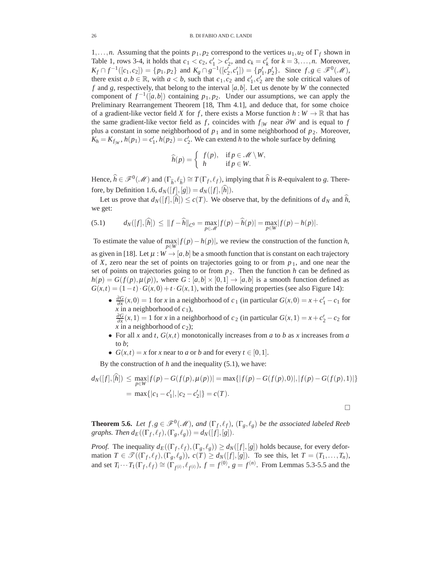1,...,*n*. Assuming that the points *p*1, *p*<sup>2</sup> correspond to the vertices *u*1,*u*<sup>2</sup> of Γ*<sup>f</sup>* shown in Table 1, rows 3-4, it holds that  $c_1 < c_2$ ,  $c'_1 > c'_2$ , and  $c_k = c'_k$  for  $k = 3, ..., n$ . Moreover, *K<sub>f</sub>* ∩  $f^{-1}([c_1, c_2]) = \{p_1, p_2\}$  and  $K_g \cap g^{-1}([c'_2, c'_1]) = \{p'_1, p'_2\}$ . Since  $f, g \in \mathcal{F}^0(\mathcal{M})$ , there exist  $a, b \in \mathbb{R}$ , with  $a < b$ , such that  $c_1, c_2$  and  $c'_1, c'_2$  are the sole critical values of  $f$  and  $g$ , respectively, that belong to the interval  $[a, b]$ . Let us denote by  $W$  the connected component of  $f^{-1}([a,b])$  containing  $p_1, p_2$ . Under our assumptions, we can apply the Preliminary Rearrangement Theorem [18, Thm 4.1], and deduce that, for some choice of a gradient-like vector field *X* for *f*, there exists a Morse function  $h: W \to \mathbb{R}$  that has the same gradient-like vector field as *f*, coincides with  $f_{\vert W}$  near  $\partial W$  and is equal to *f* plus a constant in some neighborhood of  $p_1$  and in some neighborhood of  $p_2$ . Moreover,  $K_h = K_{f|W}$ ,  $h(p_1) = c'_1$ ,  $h(p_2) = c'_2$ . We can extend *h* to the whole surface by defining

$$
\widehat{h}(p) = \begin{cases} f(p), & \text{if } p \in \mathcal{M} \setminus W, \\ h & \text{if } p \in W. \end{cases}
$$

Hence,  $\hat{h} \in \mathscr{F}^0(\mathscr{M})$  and  $(\Gamma_{\hat{h}}, \ell_{\hat{h}}) \cong T(\Gamma_f, \ell_f)$ , implying that  $\hat{h}$  is *R*-equivalent to *g*. Therefore, by Definition 1.6,  $d_N([f], [g]) = d_N([f], [h]).$ 

Let us prove that  $d_N([f],[h]) \le c(T)$ . We observe that, by the definitions of  $d_N$  and  $h$ , we get:

(5.1) 
$$
d_N([f],[\hat{h}]) \leq ||f-\hat{h}||_{C^0} = \max_{p \in \mathscr{M}} |f(p)-\hat{h}(p)| = \max_{p \in W} |f(p)-h(p)|.
$$

To estimate the value of  $\max_{p \in W} |f(p) - h(p)|$ , we review the construction of the function *h*, as given in [18]. Let  $\mu : W \to [a, b]$  be a smooth function that is constant on each trajectory of *X*, zero near the set of points on trajectories going to or from  $p_1$ , and one near the set of points on trajectories going to or from  $p_2$ . Then the function *h* can be defined as  $h(p) = G(f(p), \mu(p))$ , where  $G : [a,b] \times [0,1] \rightarrow [a,b]$  is a smooth function defined as  $G(x,t) = (1-t) \cdot G(x,0) + t \cdot G(x,1)$ , with the following properties (see also Figure 14):

•  $\frac{\partial G}{\partial x}(x,0) = 1$  for *x* in a neighborhood of *c*<sub>1</sub> (in particular  $G(x,0) = x + c'_1 - c_1$  for  $\overline{x}$  in a neighborhood of  $c_1$ ),

 $\frac{\partial G}{\partial x}(x,1) = 1$  for *x* in a neighborhood of *c*<sub>2</sub> (in particular  $G(x,1) = x + c'_2 - c_2$  for *x* in a neighborhood of  $c_2$ );

- For all *x* and *t*,  $G(x,t)$  monotonically increases from *a* to *b* as *x* increases from *a* to *b*;
- $G(x,t) = x$  for *x* near to *a* or *b* and for every  $t \in [0,1]$ .

By the construction of *h* and the inequality (5.1), we have:

$$
d_N([f],[h]) \le \max_{p \in W} |f(p) - G(f(p), \mu(p))| = \max\{|f(p) - G(f(p), 0)|, |f(p) - G(f(p), 1)|\}
$$
  
=  $\max\{|c_1 - c'_1|, |c_2 - c'_2|\} = c(T).$ 

 $\Box$ 

**Theorem 5.6.** *Let*  $f, g \in \mathscr{F}^0(\mathscr{M})$ , and  $(\Gamma_f, \ell_f)$ ,  $(\Gamma_g, \ell_g)$  *be the associated labeled Reeb graphs. Then*  $d_E((\Gamma_f, \ell_f), (\Gamma_g, \ell_g)) = d_N([f], [g]).$ 

*Proof.* The inequality  $d_E((\Gamma_f, \ell_f), (\Gamma_g, \ell_g)) \ge d_N([f], [g])$  holds because, for every deformation  $T \in \mathcal{T}((\Gamma_f, \ell_f), (\Gamma_g, \ell_g))$ ,  $c(T) \ge d_N([f], [g])$ . To see this, let  $T = (T_1, \ldots, T_n)$ , and set  $T_i \cdots T_1(\Gamma_f, \ell_f) \cong (\Gamma_{f^{(i)}}, \ell_{f^{(i)}}), f = f^{(0)}, g = f^{(n)}$ . From Lemmas 5.3-5.5 and the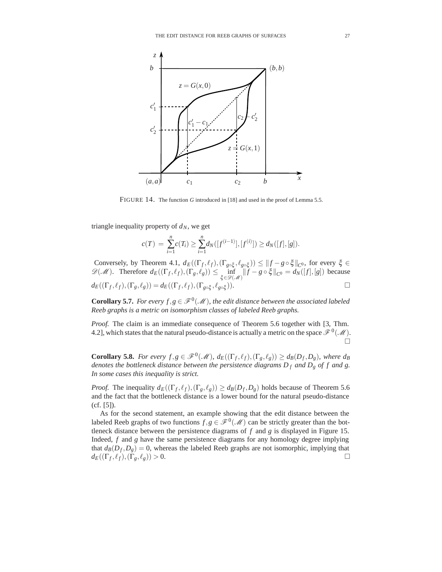

FIGURE 14. The function *G* introduced in [18] and used in the proof of Lemma 5.5.

triangle inequality property of  $d_N$ , we get

$$
c(T) = \sum_{i=1}^{n} c(T_i) \ge \sum_{i=1}^{n} d_N([f^{(i-1)}],[f^{(i)}]) \ge d_N([f],[g]).
$$

Conversely, by Theorem 4.1,  $d_E((\Gamma_f, \ell_f), (\Gamma_{g \circ \xi}, \ell_{g \circ \xi})) \leq ||f - g \circ \xi||_{C^0}$ , for every  $\xi \in$  $\mathscr{D}(\mathscr{M})$ . Therefore  $d_E((\Gamma_f, \ell_f), (\Gamma_g, \ell_g)) \le \inf_{\xi \in \mathscr{D}(\mathscr{M})} ||f - g \circ \xi||_{C^0} = d_N([f],[g])$  because  $d_E((\Gamma_f, \ell_f), (\Gamma_g, \ell_g)) = d_E((\Gamma_f, \ell_f), (\Gamma_{g \circ \xi}, \ell_g))$ *g*∘ξ)). □

**Corollary 5.7.** *For every*  $f, g \in \mathcal{F}^0(\mathcal{M})$ *, the edit distance between the associated labeled Reeb graphs is a metric on isomorphism classes of labeled Reeb graphs.*

*Proof.* The claim is an immediate consequence of Theorem 5.6 together with [3, Thm. 4.2], which states that the natural pseudo-distance is actually a metric on the space  $\mathcal{F}^0(\mathcal{M})$ .  $\Box$ 

**Corollary 5.8.** *For every f*,*g*  $\in \mathscr{F}^0(\mathscr{M})$ ,  $d_E((\Gamma_f, \ell_f), (\Gamma_g, \ell_g)) \geq d_B(D_f, D_g)$ , where  $d_B$ *denotes the bottleneck distance between the persistence diagrams D <sup>f</sup> and Dg of f and g. In some cases this inequality is strict.*

*Proof.* The inequality  $d_E((\Gamma_f, \ell_f), (\Gamma_g, \ell_g)) \geq d_B(D_f, D_g)$  holds because of Theorem 5.6 and the fact that the bottleneck distance is a lower bound for the natural pseudo-distance (cf. [5]).

As for the second statement, an example showing that the edit distance between the labeled Reeb graphs of two functions  $f, g \in \mathscr{F}^0(\mathscr{M})$  can be strictly greater than the bottleneck distance between the persistence diagrams of *f* and *g* is displayed in Figure 15. Indeed, *f* and *g* have the same persistence diagrams for any homology degree implying that  $d_B(D_f, D_g) = 0$ , whereas the labeled Reeb graphs are not isomorphic, implying that  $d_E((\Gamma_f, \ell_f), (\Gamma_g, \ell_g)) > 0.$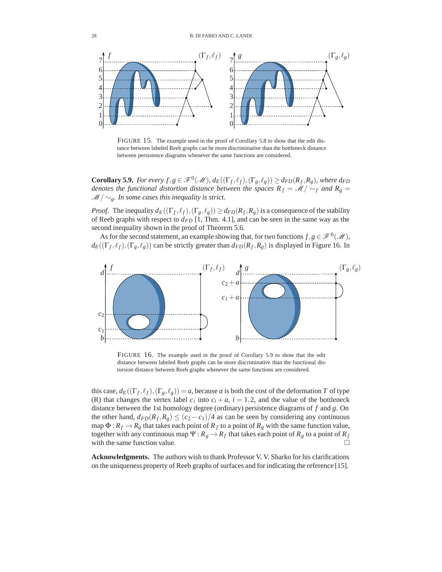

FIGURE 15. The example used in the proof of Corollary 5.8 to show that the edit distance between labeled Reeb graphs can be more discriminative than the bottleneck distance between persistence diagrams whenever the same functions are considered.

**Corollary 5.9.** *For every f*,*g*  $\in \mathscr{F}^0(\mathscr{M})$ ,  $d_E((\Gamma_f, \ell_f), (\Gamma_g, \ell_g)) \geq d_{FD}(R_f, R_g)$ , where  $d_{FD}$ *denotes the functional distortion distance between the spaces*  $R_f = \mathcal{M}/\sim_f$  *and*  $R_g =$ *M* / ∼<sub>*g</sub>*. *In some cases this inequality is strict.*</sub>

*Proof.* The inequality  $d_E((\Gamma_f, \ell_f), (\Gamma_g, \ell_g)) \ge d_{FD}(R_f, R_g)$  is a consequence of the stability of Reeb graphs with respect to  $d_{FD}$  [1, Thm. 4.1], and can be seen in the same way as the second inequality shown in the proof of Theorem 5.6.

As for the second statement, an example showing that, for two functions  $f, g \in \mathcal{F}^0(\mathcal{M})$ ,  $d_E((\Gamma_f, \ell_f), (\Gamma_g, \ell_g))$  can be strictly greater than  $d_{FD}(R_f, R_g)$  is displayed in Figure 16. In



FIGURE 16. The example used in the proof of Corollary 5.9 to show that the edit distance between labeled Reeb graphs can be more discriminative than the functional distorsion distance between Reeb graphs whenever the same functions are considered.

this case,  $d_E((\Gamma_f, \ell_f), (\Gamma_g, \ell_g)) = a$ , because *a* is both the cost of the deformation *T* of type (R) that changes the vertex label  $c_i$  into  $c_i + a$ ,  $i = 1, 2$ , and the value of the bottleneck distance between the 1st homology degree (ordinary) persistence diagrams of *f* and *g*. On the other hand,  $d_{FD}(R_f, R_g) \le (c_2 - c_1)/4$  as can be seen by considering any continuous map  $\Phi: R_f \to R_g$  that takes each point of  $R_f$  to a point of  $R_g$  with the same function value, together with any continuous map  $\Psi$  :  $R_g \to R_f$  that takes each point of  $R_g$  to a point of  $R_f$ with the same function value.  $\Box$ 

**Acknowledgments.** The authors wish to thank Professor V. V. Sharko for his clarifications on the uniqueness property of Reeb graphs of surfaces and for indicating the reference [15].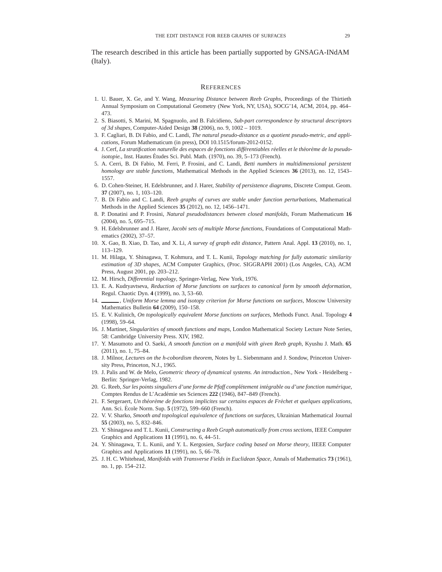The research described in this article has been partially supported by GNSAGA-INdAM (Italy).

#### **REFERENCES**

- 1. U. Bauer, X. Ge, and Y. Wang, *Measuring Distance between Reeb Graphs*, Proceedings of the Thirtieth Annual Symposium on Computational Geometry (New York, NY, USA), SOCG'14, ACM, 2014, pp. 464– 473.
- 2. S. Biasotti, S. Marini, M. Spagnuolo, and B. Falcidieno, *Sub-part correspondence by structural descriptors of 3d shapes*, Computer-Aided Design **38** (2006), no. 9, 1002 – 1019.
- 3. F. Cagliari, B. Di Fabio, and C. Landi, *The natural pseudo-distance as a quotient pseudo-metric, and applications*, Forum Mathematicum (in press), DOI 10.1515/forum-2012-0152.
- 4. J. Cerf, *La stratification naturelle des espaces de fonctions différentiables réelles et le théorème de la pseudoisotopie.*, Inst. Hautes Études Sci. Publ. Math. (1970), no. 39, 5-173 (French).
- 5. A. Cerri, B. Di Fabio, M. Ferri, P. Frosini, and C. Landi, *Betti numbers in multidimensional persistent homology are stable functions*, Mathematical Methods in the Applied Sciences **36** (2013), no. 12, 1543– 1557.
- 6. D. Cohen-Steiner, H. Edelsbrunner, and J. Harer, *Stability of persistence diagrams*, Discrete Comput. Geom. **37** (2007), no. 1, 103–120.
- 7. B. Di Fabio and C. Landi, *Reeb graphs of curves are stable under function perturbations*, Mathematical Methods in the Applied Sciences **35** (2012), no. 12, 1456–1471.
- 8. P. Donatini and P. Frosini, *Natural pseudodistances between closed manifolds*, Forum Mathematicum **16** (2004), no. 5, 695–715.
- 9. H. Edelsbrunner and J. Harer, *Jacobi sets of multiple Morse functions*, Foundations of Computational Mathematics (2002), 37–57.
- 10. X. Gao, B. Xiao, D. Tao, and X. Li, *A survey of graph edit distance*, Pattern Anal. Appl. **13** (2010), no. 1, 113–129.
- 11. M. Hilaga, Y. Shinagawa, T. Kohmura, and T. L. Kunii, *Topology matching for fully automatic similarity estimation of 3D shapes*, ACM Computer Graphics, (Proc. SIGGRAPH 2001) (Los Angeles, CA), ACM Press, August 2001, pp. 203–212.
- 12. M. Hirsch, *Differential topology*, Springer-Verlag, New York, 1976.
- 13. E. A. Kudryavtseva, *Reduction of Morse functions on surfaces to canonical form by smooth deformation*, Regul. Chaotic Dyn. **4** (1999), no. 3, 53–60.
- 14.  $\_\_\_\$ n Uniform Morse lemma and isotopy criterion for Morse functions on surfaces, Moscow University Mathematics Bulletin **64** (2009), 150–158.
- 15. E. V. Kulinich, *On topologically equivalent Morse functions on surfaces*, Methods Funct. Anal. Topology **4** (1998), 59–64.
- 16. J. Martinet, *Singularities of smooth functions and maps*, London Mathematical Society Lecture Note Series, 58: Cambridge University Press. XIV, 1982.
- 17. Y. Masumoto and O. Saeki, *A smooth function on a manifold with given Reeb graph*, Kyushu J. Math. **65** (2011), no. 1, 75–84.
- 18. J. Milnor, *Lectures on the h-cobordism theorem*, Notes by L. Siebenmann and J. Sondow, Princeton University Press, Princeton, N.J., 1965.
- 19. J. Palis and W. de Melo, *Geometric theory of dynamical systems. An introduction.*, New York Heidelberg Berlin: Springer-Verlag, 1982.
- 20. G. Reeb, *Sur les points singuliers d'une forme de Pfaff complétement intégrable ou d'une fonction numérique*, Comptes Rendus de L'Académie ses Sciences 222 (1946), 847-849 (French).
- 21. F. Sergeraert, *Un théorème de fonctions implicites sur certains espaces de Fréchet et quelques applications*, Ann. Sci. École Norm. Sup. **5** (1972), 599–660 (French).
- 22. V. V. Sharko, *Smooth and topological equivalence of functions on surfaces*, Ukrainian Mathematical Journal **55** (2003), no. 5, 832–846.
- 23. Y. Shinagawa and T. L. Kunii, *Constructing a Reeb Graph automatically from cross sections*, IEEE Computer Graphics and Applications **11** (1991), no. 6, 44–51.
- 24. Y. Shinagawa, T. L. Kunii, and Y. L. Kergosien, *Surface coding based on Morse theory*, IIEEE Computer Graphics and Applications **11** (1991), no. 5, 66–78.
- 25. J. H. C. Whitehead, *Manifolds with Transverse Fields in Euclidean Space*, Annals of Mathematics **73** (1961), no. 1, pp. 154–212.